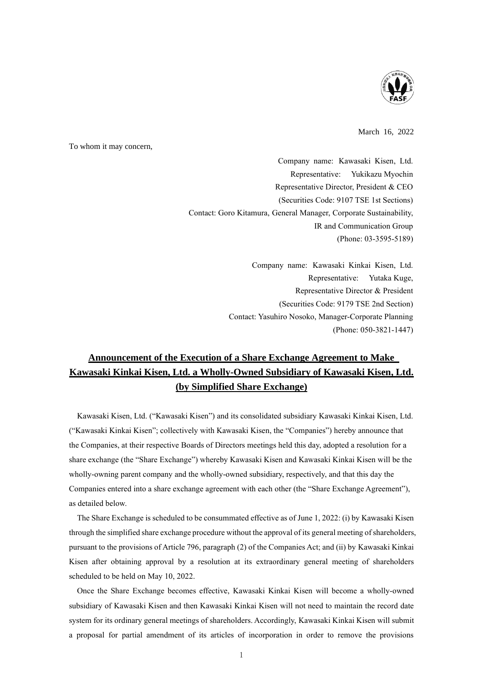

March 16, 2022

To whom it may concern,

Company name: Kawasaki Kisen, Ltd. Representative: Yukikazu Myochin Representative Director, President & CEO (Securities Code: 9107 TSE 1st Sections) Contact: Goro Kitamura, General Manager, Corporate Sustainability, IR and Communication Group (Phone: 03-3595-5189)

> Company name: Kawasaki Kinkai Kisen, Ltd. Representative: Yutaka Kuge, Representative Director & President (Securities Code: 9179 TSE 2nd Section) Contact: Yasuhiro Nosoko, Manager-Corporate Planning (Phone: 050-3821-1447)

# **Announcement of the Execution of a Share Exchange Agreement to Make Kawasaki Kinkai Kisen, Ltd. a Wholly-Owned Subsidiary of Kawasaki Kisen, Ltd. (by Simplified Share Exchange)**

Kawasaki Kisen, Ltd. ("Kawasaki Kisen") and its consolidated subsidiary Kawasaki Kinkai Kisen, Ltd. ("Kawasaki Kinkai Kisen"; collectively with Kawasaki Kisen, the "Companies") hereby announce that the Companies, at their respective Boards of Directors meetings held this day, adopted a resolution for a share exchange (the "Share Exchange") whereby Kawasaki Kisen and Kawasaki Kinkai Kisen will be the wholly-owning parent company and the wholly-owned subsidiary, respectively, and that this day the Companies entered into a share exchange agreement with each other (the "Share Exchange Agreement"), as detailed below.

The Share Exchange is scheduled to be consummated effective as of June 1, 2022: (i) by Kawasaki Kisen through the simplified share exchange procedure without the approval of its general meeting of shareholders, pursuant to the provisions of Article 796, paragraph (2) of the Companies Act; and (ii) by Kawasaki Kinkai Kisen after obtaining approval by a resolution at its extraordinary general meeting of shareholders scheduled to be held on May 10, 2022.

Once the Share Exchange becomes effective, Kawasaki Kinkai Kisen will become a wholly-owned subsidiary of Kawasaki Kisen and then Kawasaki Kinkai Kisen will not need to maintain the record date system for its ordinary general meetings of shareholders. Accordingly, Kawasaki Kinkai Kisen will submit a proposal for partial amendment of its articles of incorporation in order to remove the provisions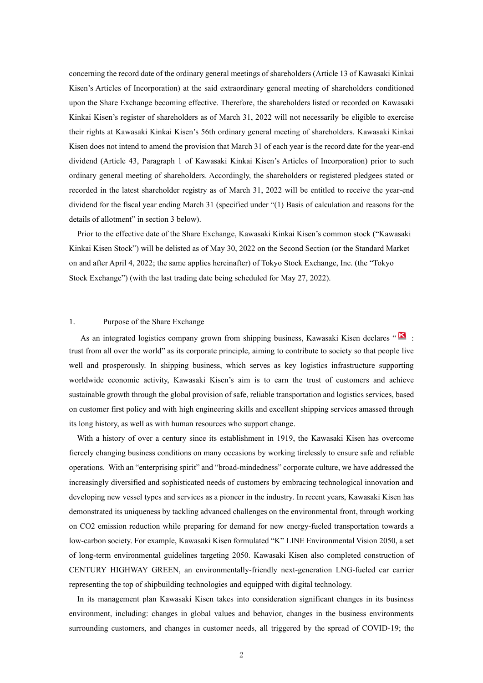concerning the record date of the ordinary general meetings of shareholders (Article 13 of Kawasaki Kinkai Kisen's Articles of Incorporation) at the said extraordinary general meeting of shareholders conditioned upon the Share Exchange becoming effective. Therefore, the shareholders listed or recorded on Kawasaki Kinkai Kisen's register of shareholders as of March 31, 2022 will not necessarily be eligible to exercise their rights at Kawasaki Kinkai Kisen's 56th ordinary general meeting of shareholders. Kawasaki Kinkai Kisen does not intend to amend the provision that March 31 of each year is the record date for the year-end dividend (Article 43, Paragraph 1 of Kawasaki Kinkai Kisen's Articles of Incorporation) prior to such ordinary general meeting of shareholders. Accordingly, the shareholders or registered pledgees stated or recorded in the latest shareholder registry as of March 31, 2022 will be entitled to receive the year-end dividend for the fiscal year ending March 31 (specified under "(1) Basis of calculation and reasons for the details of allotment" in section 3 below).

Prior to the effective date of the Share Exchange, Kawasaki Kinkai Kisen's common stock ("Kawasaki Kinkai Kisen Stock") will be delisted as of May 30, 2022 on the Second Section (or the Standard Market on and after April 4, 2022; the same applies hereinafter) of Tokyo Stock Exchange, Inc. (the "Tokyo Stock Exchange") (with the last trading date being scheduled for May 27, 2022).

#### 1. Purpose of the Share Exchange

As an integrated logistics company grown from shipping business, Kawasaki Kisen declares " $\blacksquare$ : trust from all over the world" as its corporate principle, aiming to contribute to society so that people live well and prosperously. In shipping business, which serves as key logistics infrastructure supporting worldwide economic activity, Kawasaki Kisen's aim is to earn the trust of customers and achieve sustainable growth through the global provision of safe, reliable transportation and logistics services, based on customer first policy and with high engineering skills and excellent shipping services amassed through its long history, as well as with human resources who support change.

With a history of over a century since its establishment in 1919, the Kawasaki Kisen has overcome fiercely changing business conditions on many occasions by working tirelessly to ensure safe and reliable operations. With an "enterprising spirit" and "broad-mindedness" corporate culture, we have addressed the increasingly diversified and sophisticated needs of customers by embracing technological innovation and developing new vessel types and services as a pioneer in the industry. In recent years, Kawasaki Kisen has demonstrated its uniqueness by tackling advanced challenges on the environmental front, through working on CO2 emission reduction while preparing for demand for new energy-fueled transportation towards a low-carbon society. For example, Kawasaki Kisen formulated "K" LINE Environmental Vision 2050, a set of long-term environmental guidelines targeting 2050. Kawasaki Kisen also completed construction of CENTURY HIGHWAY GREEN, an environmentally-friendly next-generation LNG-fueled car carrier representing the top of shipbuilding technologies and equipped with digital technology.

In its management plan Kawasaki Kisen takes into consideration significant changes in its business environment, including: changes in global values and behavior, changes in the business environments surrounding customers, and changes in customer needs, all triggered by the spread of COVID-19; the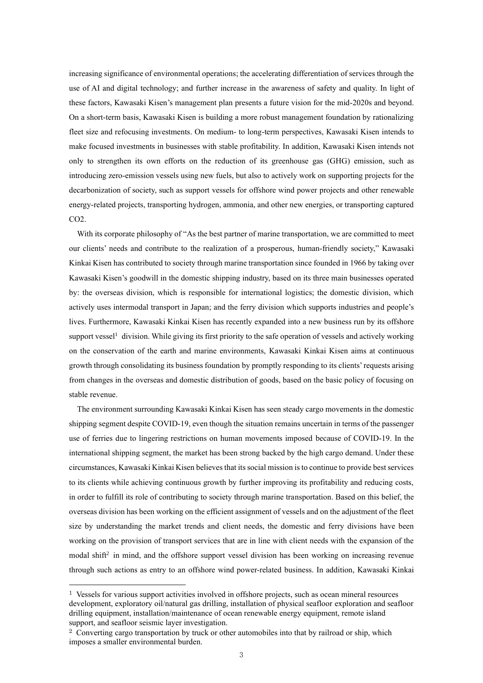increasing significance of environmental operations; the accelerating differentiation of services through the use of AI and digital technology; and further increase in the awareness of safety and quality. In light of these factors, Kawasaki Kisen's management plan presents a future vision for the mid-2020s and beyond. On a short-term basis, Kawasaki Kisen is building a more robust management foundation by rationalizing fleet size and refocusing investments. On medium- to long-term perspectives, Kawasaki Kisen intends to make focused investments in businesses with stable profitability. In addition, Kawasaki Kisen intends not only to strengthen its own efforts on the reduction of its greenhouse gas (GHG) emission, such as introducing zero-emission vessels using new fuels, but also to actively work on supporting projects for the decarbonization of society, such as support vessels for offshore wind power projects and other renewable energy-related projects, transporting hydrogen, ammonia, and other new energies, or transporting captured CO<sub>2</sub>

With its corporate philosophy of "As the best partner of marine transportation, we are committed to meet our clients' needs and contribute to the realization of a prosperous, human-friendly society," Kawasaki Kinkai Kisen has contributed to society through marine transportation since founded in 1966 by taking over Kawasaki Kisen's goodwill in the domestic shipping industry, based on its three main businesses operated by: the overseas division, which is responsible for international logistics; the domestic division, which actively uses intermodal transport in Japan; and the ferry division which supports industries and people's lives. Furthermore, Kawasaki Kinkai Kisen has recently expanded into a new business run by its offshore support vessel<sup>1</sup> division. While giving its first priority to the safe operation of vessels and actively working on the conservation of the earth and marine environments, Kawasaki Kinkai Kisen aims at continuous growth through consolidating its business foundation by promptly responding to its clients' requests arising from changes in the overseas and domestic distribution of goods, based on the basic policy of focusing on stable revenue.

The environment surrounding Kawasaki Kinkai Kisen has seen steady cargo movements in the domestic shipping segment despite COVID-19, even though the situation remains uncertain in terms of the passenger use of ferries due to lingering restrictions on human movements imposed because of COVID-19. In the international shipping segment, the market has been strong backed by the high cargo demand. Under these circumstances, Kawasaki Kinkai Kisen believes that its social mission is to continue to provide best services to its clients while achieving continuous growth by further improving its profitability and reducing costs, in order to fulfill its role of contributing to society through marine transportation. Based on this belief, the overseas division has been working on the efficient assignment of vessels and on the adjustment of the fleet size by understanding the market trends and client needs, the domestic and ferry divisions have been working on the provision of transport services that are in line with client needs with the expansion of the modal shift<sup>2</sup> in mind, and the offshore support vessel division has been working on increasing revenue through such actions as entry to an offshore wind power-related business. In addition, Kawasaki Kinkai

<sup>1</sup> Vessels for various support activities involved in offshore projects, such as ocean mineral resources development, exploratory oil/natural gas drilling, installation of physical seafloor exploration and seafloor drilling equipment, installation/maintenance of ocean renewable energy equipment, remote island support, and seafloor seismic layer investigation.

<sup>&</sup>lt;sup>2</sup> Converting cargo transportation by truck or other automobiles into that by railroad or ship, which imposes a smaller environmental burden.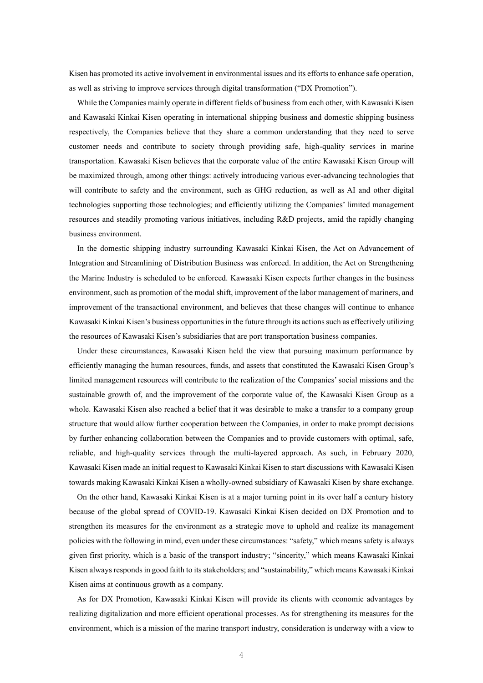Kisen has promoted its active involvement in environmental issues and its efforts to enhance safe operation, as well as striving to improve services through digital transformation ("DX Promotion").

While the Companies mainly operate in different fields of business from each other, with Kawasaki Kisen and Kawasaki Kinkai Kisen operating in international shipping business and domestic shipping business respectively, the Companies believe that they share a common understanding that they need to serve customer needs and contribute to society through providing safe, high-quality services in marine transportation. Kawasaki Kisen believes that the corporate value of the entire Kawasaki Kisen Group will be maximized through, among other things: actively introducing various ever-advancing technologies that will contribute to safety and the environment, such as GHG reduction, as well as AI and other digital technologies supporting those technologies; and efficiently utilizing the Companies' limited management resources and steadily promoting various initiatives, including R&D projects, amid the rapidly changing business environment.

In the domestic shipping industry surrounding Kawasaki Kinkai Kisen, the Act on Advancement of Integration and Streamlining of Distribution Business was enforced. In addition, the Act on Strengthening the Marine Industry is scheduled to be enforced. Kawasaki Kisen expects further changes in the business environment, such as promotion of the modal shift, improvement of the labor management of mariners, and improvement of the transactional environment, and believes that these changes will continue to enhance Kawasaki Kinkai Kisen's business opportunities in the future through its actions such as effectively utilizing the resources of Kawasaki Kisen's subsidiaries that are port transportation business companies.

Under these circumstances, Kawasaki Kisen held the view that pursuing maximum performance by efficiently managing the human resources, funds, and assets that constituted the Kawasaki Kisen Group's limited management resources will contribute to the realization of the Companies' social missions and the sustainable growth of, and the improvement of the corporate value of, the Kawasaki Kisen Group as a whole. Kawasaki Kisen also reached a belief that it was desirable to make a transfer to a company group structure that would allow further cooperation between the Companies, in order to make prompt decisions by further enhancing collaboration between the Companies and to provide customers with optimal, safe, reliable, and high-quality services through the multi-layered approach. As such, in February 2020, Kawasaki Kisen made an initial request to Kawasaki Kinkai Kisen to start discussions with Kawasaki Kisen towards making Kawasaki Kinkai Kisen a wholly-owned subsidiary of Kawasaki Kisen by share exchange.

On the other hand, Kawasaki Kinkai Kisen is at a major turning point in its over half a century history because of the global spread of COVID-19. Kawasaki Kinkai Kisen decided on DX Promotion and to strengthen its measures for the environment as a strategic move to uphold and realize its management policies with the following in mind, even under these circumstances: "safety," which means safety is always given first priority, which is a basic of the transport industry; "sincerity," which means Kawasaki Kinkai Kisen always responds in good faith to its stakeholders; and "sustainability," which means Kawasaki Kinkai Kisen aims at continuous growth as a company.

As for DX Promotion, Kawasaki Kinkai Kisen will provide its clients with economic advantages by realizing digitalization and more efficient operational processes. As for strengthening its measures for the environment, which is a mission of the marine transport industry, consideration is underway with a view to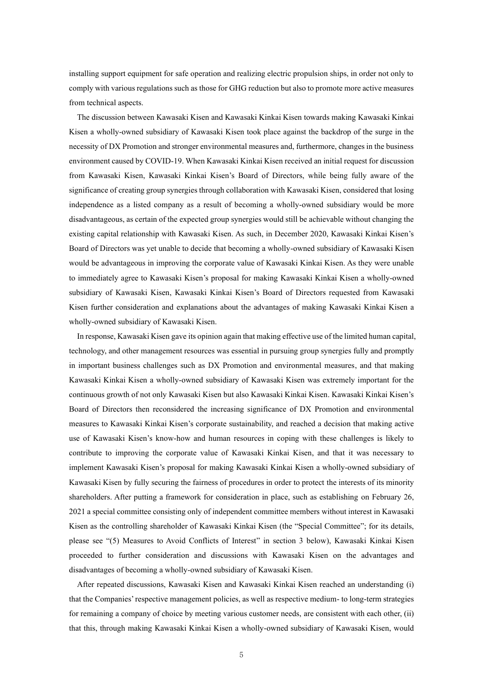installing support equipment for safe operation and realizing electric propulsion ships, in order not only to comply with various regulations such as those for GHG reduction but also to promote more active measures from technical aspects.

The discussion between Kawasaki Kisen and Kawasaki Kinkai Kisen towards making Kawasaki Kinkai Kisen a wholly-owned subsidiary of Kawasaki Kisen took place against the backdrop of the surge in the necessity of DX Promotion and stronger environmental measures and, furthermore, changes in the business environment caused by COVID-19. When Kawasaki Kinkai Kisen received an initial request for discussion from Kawasaki Kisen, Kawasaki Kinkai Kisen's Board of Directors, while being fully aware of the significance of creating group synergies through collaboration with Kawasaki Kisen, considered that losing independence as a listed company as a result of becoming a wholly-owned subsidiary would be more disadvantageous, as certain of the expected group synergies would still be achievable without changing the existing capital relationship with Kawasaki Kisen. As such, in December 2020, Kawasaki Kinkai Kisen's Board of Directors was yet unable to decide that becoming a wholly-owned subsidiary of Kawasaki Kisen would be advantageous in improving the corporate value of Kawasaki Kinkai Kisen. As they were unable to immediately agree to Kawasaki Kisen's proposal for making Kawasaki Kinkai Kisen a wholly-owned subsidiary of Kawasaki Kisen, Kawasaki Kinkai Kisen's Board of Directors requested from Kawasaki Kisen further consideration and explanations about the advantages of making Kawasaki Kinkai Kisen a wholly-owned subsidiary of Kawasaki Kisen.

In response, Kawasaki Kisen gave its opinion again that making effective use of the limited human capital, technology, and other management resources was essential in pursuing group synergies fully and promptly in important business challenges such as DX Promotion and environmental measures, and that making Kawasaki Kinkai Kisen a wholly-owned subsidiary of Kawasaki Kisen was extremely important for the continuous growth of not only Kawasaki Kisen but also Kawasaki Kinkai Kisen. Kawasaki Kinkai Kisen's Board of Directors then reconsidered the increasing significance of DX Promotion and environmental measures to Kawasaki Kinkai Kisen's corporate sustainability, and reached a decision that making active use of Kawasaki Kisen's know-how and human resources in coping with these challenges is likely to contribute to improving the corporate value of Kawasaki Kinkai Kisen, and that it was necessary to implement Kawasaki Kisen's proposal for making Kawasaki Kinkai Kisen a wholly-owned subsidiary of Kawasaki Kisen by fully securing the fairness of procedures in order to protect the interests of its minority shareholders. After putting a framework for consideration in place, such as establishing on February 26, 2021 a special committee consisting only of independent committee members without interest in Kawasaki Kisen as the controlling shareholder of Kawasaki Kinkai Kisen (the "Special Committee"; for its details, please see "(5) Measures to Avoid Conflicts of Interest" in section 3 below), Kawasaki Kinkai Kisen proceeded to further consideration and discussions with Kawasaki Kisen on the advantages and disadvantages of becoming a wholly-owned subsidiary of Kawasaki Kisen.

After repeated discussions, Kawasaki Kisen and Kawasaki Kinkai Kisen reached an understanding (i) that the Companies' respective management policies, as well as respective medium- to long-term strategies for remaining a company of choice by meeting various customer needs, are consistent with each other, (ii) that this, through making Kawasaki Kinkai Kisen a wholly-owned subsidiary of Kawasaki Kisen, would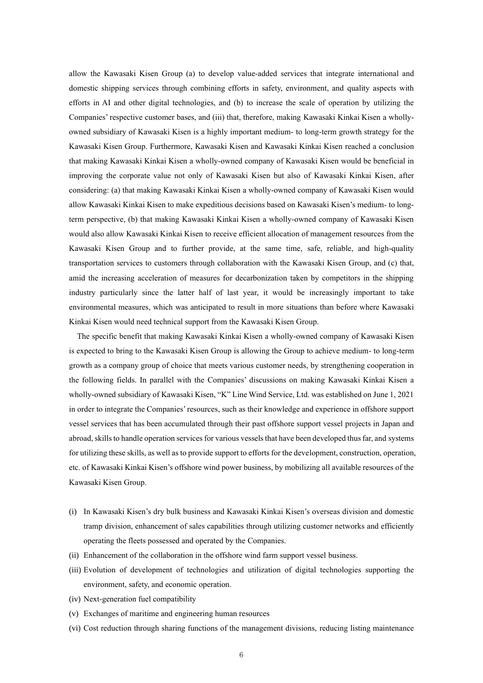allow the Kawasaki Kisen Group (a) to develop value-added services that integrate international and domestic shipping services through combining efforts in safety, environment, and quality aspects with efforts in AI and other digital technologies, and (b) to increase the scale of operation by utilizing the Companies' respective customer bases, and (iii) that, therefore, making Kawasaki Kinkai Kisen a whollyowned subsidiary of Kawasaki Kisen is a highly important medium- to long-term growth strategy for the Kawasaki Kisen Group. Furthermore, Kawasaki Kisen and Kawasaki Kinkai Kisen reached a conclusion that making Kawasaki Kinkai Kisen a wholly-owned company of Kawasaki Kisen would be beneficial in improving the corporate value not only of Kawasaki Kisen but also of Kawasaki Kinkai Kisen, after considering: (a) that making Kawasaki Kinkai Kisen a wholly-owned company of Kawasaki Kisen would allow Kawasaki Kinkai Kisen to make expeditious decisions based on Kawasaki Kisen's medium- to longterm perspective, (b) that making Kawasaki Kinkai Kisen a wholly-owned company of Kawasaki Kisen would also allow Kawasaki Kinkai Kisen to receive efficient allocation of management resources from the Kawasaki Kisen Group and to further provide, at the same time, safe, reliable, and high-quality transportation services to customers through collaboration with the Kawasaki Kisen Group, and (c) that, amid the increasing acceleration of measures for decarbonization taken by competitors in the shipping industry particularly since the latter half of last year, it would be increasingly important to take environmental measures, which was anticipated to result in more situations than before where Kawasaki Kinkai Kisen would need technical support from the Kawasaki Kisen Group.

The specific benefit that making Kawasaki Kinkai Kisen a wholly-owned company of Kawasaki Kisen is expected to bring to the Kawasaki Kisen Group is allowing the Group to achieve medium- to long-term growth as a company group of choice that meets various customer needs, by strengthening cooperation in the following fields. In parallel with the Companies' discussions on making Kawasaki Kinkai Kisen a wholly-owned subsidiary of Kawasaki Kisen, "K" Line Wind Service, Ltd. was established on June 1, 2021 in order to integrate the Companies' resources, such as their knowledge and experience in offshore support vessel services that has been accumulated through their past offshore support vessel projects in Japan and abroad, skills to handle operation services for various vessels that have been developed thus far, and systems for utilizing these skills, as well as to provide support to efforts for the development, construction, operation, etc. of Kawasaki Kinkai Kisen's offshore wind power business, by mobilizing all available resources of the Kawasaki Kisen Group.

- (i) In Kawasaki Kisen's dry bulk business and Kawasaki Kinkai Kisen's overseas division and domestic tramp division, enhancement of sales capabilities through utilizing customer networks and efficiently operating the fleets possessed and operated by the Companies.
- (ii) Enhancement of the collaboration in the offshore wind farm support vessel business.
- (iii) Evolution of development of technologies and utilization of digital technologies supporting the environment, safety, and economic operation.
- (iv) Next-generation fuel compatibility
- (v) Exchanges of maritime and engineering human resources
- (vi) Cost reduction through sharing functions of the management divisions, reducing listing maintenance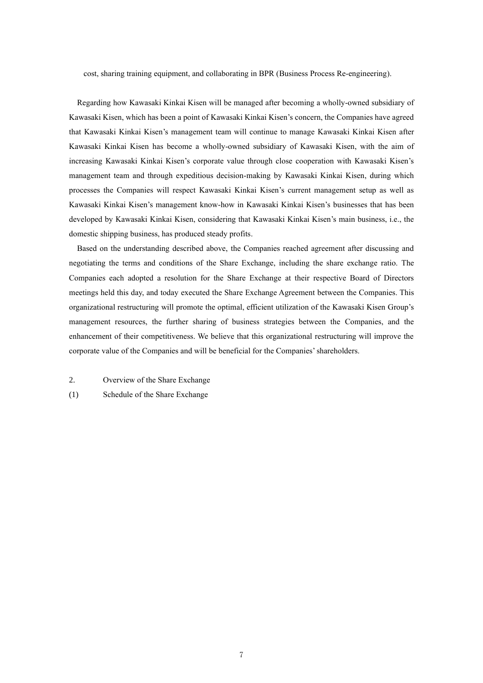cost, sharing training equipment, and collaborating in BPR (Business Process Re-engineering).

Regarding how Kawasaki Kinkai Kisen will be managed after becoming a wholly-owned subsidiary of Kawasaki Kisen, which has been a point of Kawasaki Kinkai Kisen's concern, the Companies have agreed that Kawasaki Kinkai Kisen's management team will continue to manage Kawasaki Kinkai Kisen after Kawasaki Kinkai Kisen has become a wholly-owned subsidiary of Kawasaki Kisen, with the aim of increasing Kawasaki Kinkai Kisen's corporate value through close cooperation with Kawasaki Kisen's management team and through expeditious decision-making by Kawasaki Kinkai Kisen, during which processes the Companies will respect Kawasaki Kinkai Kisen's current management setup as well as Kawasaki Kinkai Kisen's management know-how in Kawasaki Kinkai Kisen's businesses that has been developed by Kawasaki Kinkai Kisen, considering that Kawasaki Kinkai Kisen's main business, i.e., the domestic shipping business, has produced steady profits.

Based on the understanding described above, the Companies reached agreement after discussing and negotiating the terms and conditions of the Share Exchange, including the share exchange ratio. The Companies each adopted a resolution for the Share Exchange at their respective Board of Directors meetings held this day, and today executed the Share Exchange Agreement between the Companies. This organizational restructuring will promote the optimal, efficient utilization of the Kawasaki Kisen Group's management resources, the further sharing of business strategies between the Companies, and the enhancement of their competitiveness. We believe that this organizational restructuring will improve the corporate value of the Companies and will be beneficial for the Companies' shareholders.

- 2. Overview of the Share Exchange
- (1) Schedule of the Share Exchange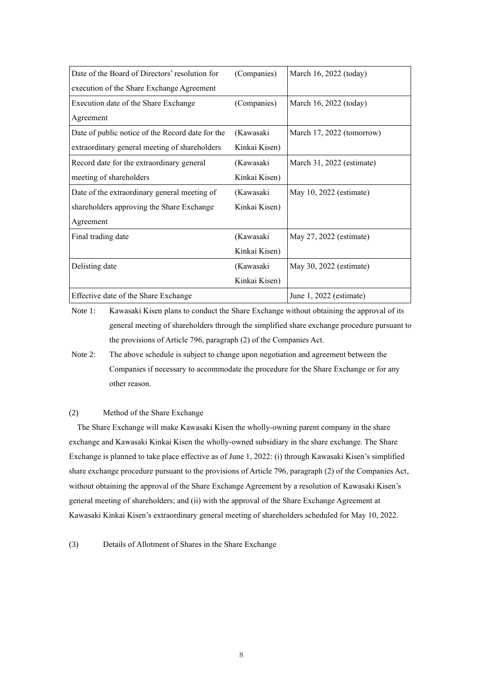| Date of the Board of Directors' resolution for   | (Companies)   | March 16, 2022 (today)    |
|--------------------------------------------------|---------------|---------------------------|
| execution of the Share Exchange Agreement        |               |                           |
| Execution date of the Share Exchange             | (Companies)   | March 16, 2022 (today)    |
| Agreement                                        |               |                           |
| Date of public notice of the Record date for the | (Kawasaki     | March 17, 2022 (tomorrow) |
| extraordinary general meeting of shareholders    | Kinkai Kisen) |                           |
| Record date for the extraordinary general        | (Kawasaki     | March 31, 2022 (estimate) |
| meeting of shareholders                          | Kinkai Kisen) |                           |
| Date of the extraordinary general meeting of     | (Kawasaki     | May 10, 2022 (estimate)   |
| shareholders approving the Share Exchange        | Kinkai Kisen) |                           |
| Agreement                                        |               |                           |
| Final trading date                               | (Kawasaki     | May 27, 2022 (estimate)   |
|                                                  | Kinkai Kisen) |                           |
| Delisting date                                   | (Kawasaki     | May 30, 2022 (estimate)   |
|                                                  | Kinkai Kisen) |                           |
| Effective date of the Share Exchange             |               | June $1, 2022$ (estimate) |

Note 1: Kawasaki Kisen plans to conduct the Share Exchange without obtaining the approval of its general meeting of shareholders through the simplified share exchange procedure pursuant to the provisions of Article 796, paragraph (2) of the Companies Act.

# (2) Method of the Share Exchange

The Share Exchange will make Kawasaki Kisen the wholly-owning parent company in the share exchange and Kawasaki Kinkai Kisen the wholly-owned subsidiary in the share exchange. The Share Exchange is planned to take place effective as of June 1, 2022: (i) through Kawasaki Kisen's simplified share exchange procedure pursuant to the provisions of Article 796, paragraph (2) of the Companies Act, without obtaining the approval of the Share Exchange Agreement by a resolution of Kawasaki Kisen's general meeting of shareholders; and (ii) with the approval of the Share Exchange Agreement at Kawasaki Kinkai Kisen's extraordinary general meeting of shareholders scheduled for May 10, 2022.

(3) Details of Allotment of Shares in the Share Exchange

Note 2: The above schedule is subject to change upon negotiation and agreement between the Companies if necessary to accommodate the procedure for the Share Exchange or for any other reason.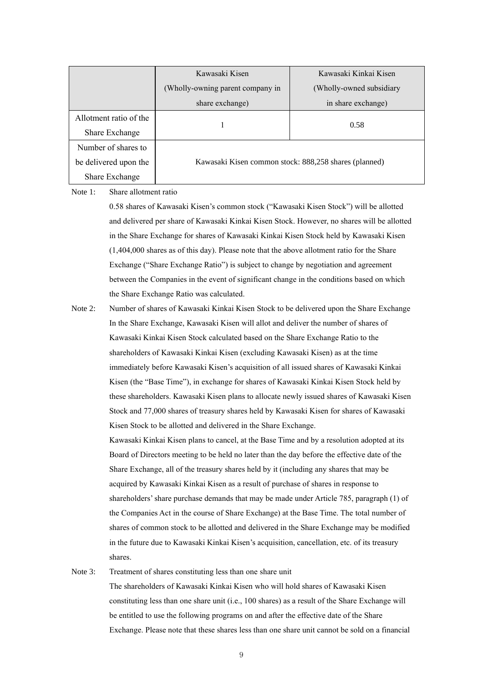|                        | Kawasaki Kisen                                        | Kawasaki Kinkai Kisen    |  |  |
|------------------------|-------------------------------------------------------|--------------------------|--|--|
|                        | (Wholly-owning parent company in                      | (Wholly-owned subsidiary |  |  |
|                        | share exchange)                                       | in share exchange)       |  |  |
| Allotment ratio of the |                                                       |                          |  |  |
| Share Exchange         |                                                       | 0.58                     |  |  |
| Number of shares to    |                                                       |                          |  |  |
| be delivered upon the  | Kawasaki Kisen common stock: 888,258 shares (planned) |                          |  |  |
| Share Exchange         |                                                       |                          |  |  |

Note 1: Share allotment ratio

0.58 shares of Kawasaki Kisen's common stock ("Kawasaki Kisen Stock") will be allotted and delivered per share of Kawasaki Kinkai Kisen Stock. However, no shares will be allotted in the Share Exchange for shares of Kawasaki Kinkai Kisen Stock held by Kawasaki Kisen (1,404,000 shares as of this day). Please note that the above allotment ratio for the Share Exchange ("Share Exchange Ratio") is subject to change by negotiation and agreement between the Companies in the event of significant change in the conditions based on which the Share Exchange Ratio was calculated.

Note 2: Number of shares of Kawasaki Kinkai Kisen Stock to be delivered upon the Share Exchange In the Share Exchange, Kawasaki Kisen will allot and deliver the number of shares of Kawasaki Kinkai Kisen Stock calculated based on the Share Exchange Ratio to the shareholders of Kawasaki Kinkai Kisen (excluding Kawasaki Kisen) as at the time immediately before Kawasaki Kisen's acquisition of all issued shares of Kawasaki Kinkai Kisen (the "Base Time"), in exchange for shares of Kawasaki Kinkai Kisen Stock held by these shareholders. Kawasaki Kisen plans to allocate newly issued shares of Kawasaki Kisen Stock and 77,000 shares of treasury shares held by Kawasaki Kisen for shares of Kawasaki Kisen Stock to be allotted and delivered in the Share Exchange.

> Kawasaki Kinkai Kisen plans to cancel, at the Base Time and by a resolution adopted at its Board of Directors meeting to be held no later than the day before the effective date of the Share Exchange, all of the treasury shares held by it (including any shares that may be acquired by Kawasaki Kinkai Kisen as a result of purchase of shares in response to shareholders' share purchase demands that may be made under Article 785, paragraph (1) of the Companies Act in the course of Share Exchange) at the Base Time. The total number of shares of common stock to be allotted and delivered in the Share Exchange may be modified in the future due to Kawasaki Kinkai Kisen's acquisition, cancellation, etc. of its treasury shares.

# Note 3: Treatment of shares constituting less than one share unit

The shareholders of Kawasaki Kinkai Kisen who will hold shares of Kawasaki Kisen constituting less than one share unit (i.e., 100 shares) as a result of the Share Exchange will be entitled to use the following programs on and after the effective date of the Share Exchange. Please note that these shares less than one share unit cannot be sold on a financial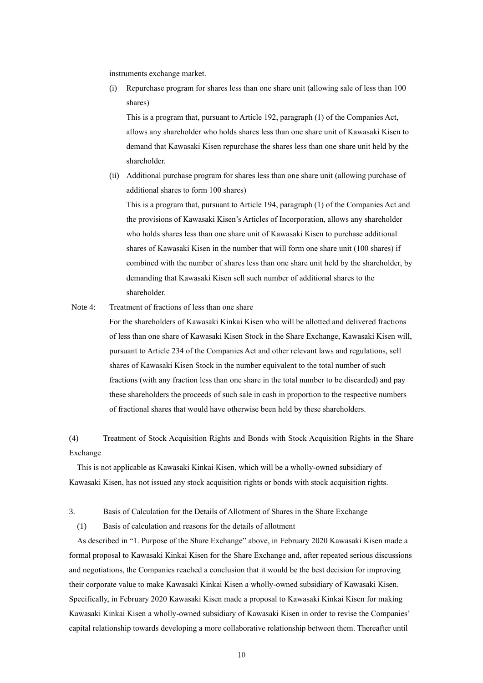instruments exchange market.

(i) Repurchase program for shares less than one share unit (allowing sale of less than 100 shares)

This is a program that, pursuant to Article 192, paragraph (1) of the Companies Act, allows any shareholder who holds shares less than one share unit of Kawasaki Kisen to demand that Kawasaki Kisen repurchase the shares less than one share unit held by the shareholder.

(ii) Additional purchase program for shares less than one share unit (allowing purchase of additional shares to form 100 shares)

This is a program that, pursuant to Article 194, paragraph (1) of the Companies Act and the provisions of Kawasaki Kisen's Articles of Incorporation, allows any shareholder who holds shares less than one share unit of Kawasaki Kisen to purchase additional shares of Kawasaki Kisen in the number that will form one share unit (100 shares) if combined with the number of shares less than one share unit held by the shareholder, by demanding that Kawasaki Kisen sell such number of additional shares to the shareholder.

Note 4: Treatment of fractions of less than one share

For the shareholders of Kawasaki Kinkai Kisen who will be allotted and delivered fractions of less than one share of Kawasaki Kisen Stock in the Share Exchange, Kawasaki Kisen will, pursuant to Article 234 of the Companies Act and other relevant laws and regulations, sell shares of Kawasaki Kisen Stock in the number equivalent to the total number of such fractions (with any fraction less than one share in the total number to be discarded) and pay these shareholders the proceeds of such sale in cash in proportion to the respective numbers of fractional shares that would have otherwise been held by these shareholders.

(4) Treatment of Stock Acquisition Rights and Bonds with Stock Acquisition Rights in the Share Exchange

This is not applicable as Kawasaki Kinkai Kisen, which will be a wholly-owned subsidiary of Kawasaki Kisen, has not issued any stock acquisition rights or bonds with stock acquisition rights.

3. Basis of Calculation for the Details of Allotment of Shares in the Share Exchange

(1) Basis of calculation and reasons for the details of allotment

As described in "1. Purpose of the Share Exchange" above, in February 2020 Kawasaki Kisen made a formal proposal to Kawasaki Kinkai Kisen for the Share Exchange and, after repeated serious discussions and negotiations, the Companies reached a conclusion that it would be the best decision for improving their corporate value to make Kawasaki Kinkai Kisen a wholly-owned subsidiary of Kawasaki Kisen. Specifically, in February 2020 Kawasaki Kisen made a proposal to Kawasaki Kinkai Kisen for making Kawasaki Kinkai Kisen a wholly-owned subsidiary of Kawasaki Kisen in order to revise the Companies' capital relationship towards developing a more collaborative relationship between them. Thereafter until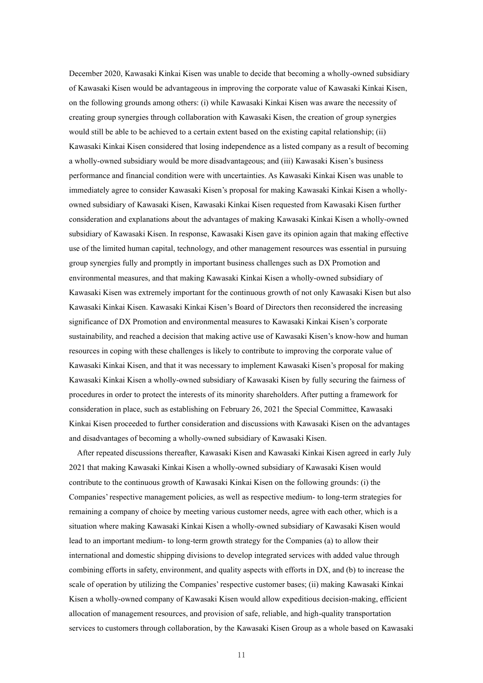December 2020, Kawasaki Kinkai Kisen was unable to decide that becoming a wholly-owned subsidiary of Kawasaki Kisen would be advantageous in improving the corporate value of Kawasaki Kinkai Kisen, on the following grounds among others: (i) while Kawasaki Kinkai Kisen was aware the necessity of creating group synergies through collaboration with Kawasaki Kisen, the creation of group synergies would still be able to be achieved to a certain extent based on the existing capital relationship; (ii) Kawasaki Kinkai Kisen considered that losing independence as a listed company as a result of becoming a wholly-owned subsidiary would be more disadvantageous; and (iii) Kawasaki Kisen's business performance and financial condition were with uncertainties. As Kawasaki Kinkai Kisen was unable to immediately agree to consider Kawasaki Kisen's proposal for making Kawasaki Kinkai Kisen a whollyowned subsidiary of Kawasaki Kisen, Kawasaki Kinkai Kisen requested from Kawasaki Kisen further consideration and explanations about the advantages of making Kawasaki Kinkai Kisen a wholly-owned subsidiary of Kawasaki Kisen. In response, Kawasaki Kisen gave its opinion again that making effective use of the limited human capital, technology, and other management resources was essential in pursuing group synergies fully and promptly in important business challenges such as DX Promotion and environmental measures, and that making Kawasaki Kinkai Kisen a wholly-owned subsidiary of Kawasaki Kisen was extremely important for the continuous growth of not only Kawasaki Kisen but also Kawasaki Kinkai Kisen. Kawasaki Kinkai Kisen's Board of Directors then reconsidered the increasing significance of DX Promotion and environmental measures to Kawasaki Kinkai Kisen's corporate sustainability, and reached a decision that making active use of Kawasaki Kisen's know-how and human resources in coping with these challenges is likely to contribute to improving the corporate value of Kawasaki Kinkai Kisen, and that it was necessary to implement Kawasaki Kisen's proposal for making Kawasaki Kinkai Kisen a wholly-owned subsidiary of Kawasaki Kisen by fully securing the fairness of procedures in order to protect the interests of its minority shareholders. After putting a framework for consideration in place, such as establishing on February 26, 2021 the Special Committee, Kawasaki Kinkai Kisen proceeded to further consideration and discussions with Kawasaki Kisen on the advantages and disadvantages of becoming a wholly-owned subsidiary of Kawasaki Kisen.

After repeated discussions thereafter, Kawasaki Kisen and Kawasaki Kinkai Kisen agreed in early July 2021 that making Kawasaki Kinkai Kisen a wholly-owned subsidiary of Kawasaki Kisen would contribute to the continuous growth of Kawasaki Kinkai Kisen on the following grounds: (i) the Companies' respective management policies, as well as respective medium- to long-term strategies for remaining a company of choice by meeting various customer needs, agree with each other, which is a situation where making Kawasaki Kinkai Kisen a wholly-owned subsidiary of Kawasaki Kisen would lead to an important medium- to long-term growth strategy for the Companies (a) to allow their international and domestic shipping divisions to develop integrated services with added value through combining efforts in safety, environment, and quality aspects with efforts in DX, and (b) to increase the scale of operation by utilizing the Companies' respective customer bases; (ii) making Kawasaki Kinkai Kisen a wholly-owned company of Kawasaki Kisen would allow expeditious decision-making, efficient allocation of management resources, and provision of safe, reliable, and high-quality transportation services to customers through collaboration, by the Kawasaki Kisen Group as a whole based on Kawasaki

11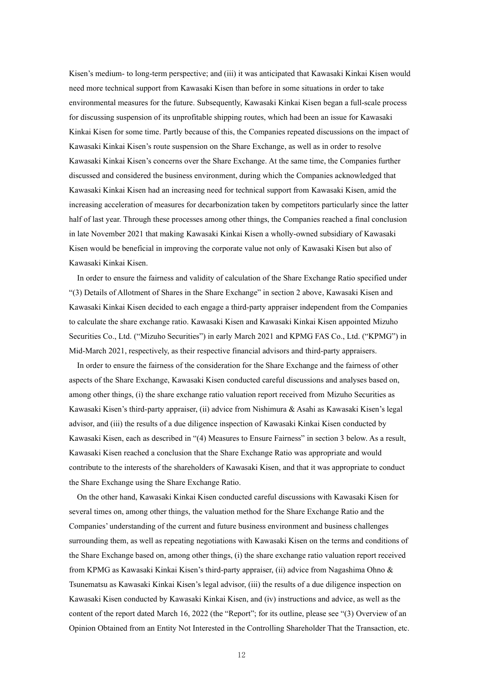Kisen's medium- to long-term perspective; and (iii) it was anticipated that Kawasaki Kinkai Kisen would need more technical support from Kawasaki Kisen than before in some situations in order to take environmental measures for the future. Subsequently, Kawasaki Kinkai Kisen began a full-scale process for discussing suspension of its unprofitable shipping routes, which had been an issue for Kawasaki Kinkai Kisen for some time. Partly because of this, the Companies repeated discussions on the impact of Kawasaki Kinkai Kisen's route suspension on the Share Exchange, as well as in order to resolve Kawasaki Kinkai Kisen's concerns over the Share Exchange. At the same time, the Companies further discussed and considered the business environment, during which the Companies acknowledged that Kawasaki Kinkai Kisen had an increasing need for technical support from Kawasaki Kisen, amid the increasing acceleration of measures for decarbonization taken by competitors particularly since the latter half of last year. Through these processes among other things, the Companies reached a final conclusion in late November 2021 that making Kawasaki Kinkai Kisen a wholly-owned subsidiary of Kawasaki Kisen would be beneficial in improving the corporate value not only of Kawasaki Kisen but also of Kawasaki Kinkai Kisen.

In order to ensure the fairness and validity of calculation of the Share Exchange Ratio specified under "(3) Details of Allotment of Shares in the Share Exchange" in section 2 above, Kawasaki Kisen and Kawasaki Kinkai Kisen decided to each engage a third-party appraiser independent from the Companies to calculate the share exchange ratio. Kawasaki Kisen and Kawasaki Kinkai Kisen appointed Mizuho Securities Co., Ltd. ("Mizuho Securities") in early March 2021 and KPMG FAS Co., Ltd. ("KPMG") in Mid-March 2021, respectively, as their respective financial advisors and third-party appraisers.

In order to ensure the fairness of the consideration for the Share Exchange and the fairness of other aspects of the Share Exchange, Kawasaki Kisen conducted careful discussions and analyses based on, among other things, (i) the share exchange ratio valuation report received from Mizuho Securities as Kawasaki Kisen's third-party appraiser, (ii) advice from Nishimura & Asahi as Kawasaki Kisen's legal advisor, and (iii) the results of a due diligence inspection of Kawasaki Kinkai Kisen conducted by Kawasaki Kisen, each as described in "(4) Measures to Ensure Fairness" in section 3 below. As a result, Kawasaki Kisen reached a conclusion that the Share Exchange Ratio was appropriate and would contribute to the interests of the shareholders of Kawasaki Kisen, and that it was appropriate to conduct the Share Exchange using the Share Exchange Ratio.

On the other hand, Kawasaki Kinkai Kisen conducted careful discussions with Kawasaki Kisen for several times on, among other things, the valuation method for the Share Exchange Ratio and the Companies' understanding of the current and future business environment and business challenges surrounding them, as well as repeating negotiations with Kawasaki Kisen on the terms and conditions of the Share Exchange based on, among other things, (i) the share exchange ratio valuation report received from KPMG as Kawasaki Kinkai Kisen's third-party appraiser, (ii) advice from Nagashima Ohno & Tsunematsu as Kawasaki Kinkai Kisen's legal advisor, (iii) the results of a due diligence inspection on Kawasaki Kisen conducted by Kawasaki Kinkai Kisen, and (iv) instructions and advice, as well as the content of the report dated March 16, 2022 (the "Report"; for its outline, please see "(3) Overview of an Opinion Obtained from an Entity Not Interested in the Controlling Shareholder That the Transaction, etc.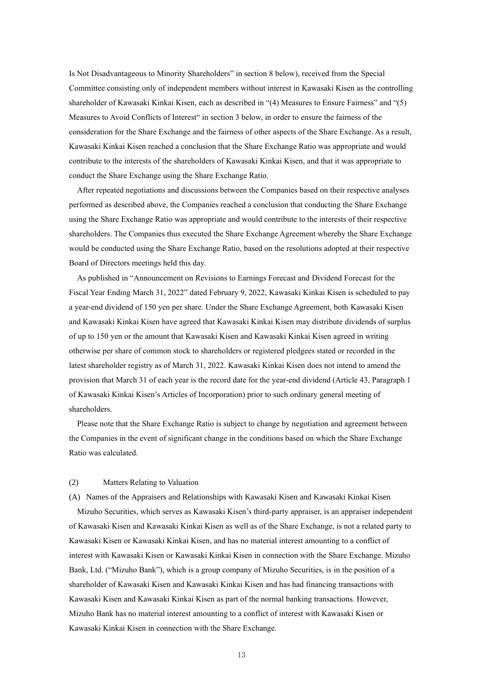Is Not Disadvantageous to Minority Shareholders" in section 8 below), received from the Special Committee consisting only of independent members without interest in Kawasaki Kisen as the controlling shareholder of Kawasaki Kinkai Kisen, each as described in "(4) Measures to Ensure Fairness" and "(5) Measures to Avoid Conflicts of Interest" in section 3 below, in order to ensure the fairness of the consideration for the Share Exchange and the fairness of other aspects of the Share Exchange. As a result, Kawasaki Kinkai Kisen reached a conclusion that the Share Exchange Ratio was appropriate and would contribute to the interests of the shareholders of Kawasaki Kinkai Kisen, and that it was appropriate to conduct the Share Exchange using the Share Exchange Ratio.

After repeated negotiations and discussions between the Companies based on their respective analyses performed as described above, the Companies reached a conclusion that conducting the Share Exchange using the Share Exchange Ratio was appropriate and would contribute to the interests of their respective shareholders. The Companies thus executed the Share Exchange Agreement whereby the Share Exchange would be conducted using the Share Exchange Ratio, based on the resolutions adopted at their respective Board of Directors meetings held this day.

As published in "Announcement on Revisions to Earnings Forecast and Dividend Forecast for the Fiscal Year Ending March 31, 2022" dated February 9, 2022, Kawasaki Kinkai Kisen is scheduled to pay a year-end dividend of 150 yen per share. Under the Share Exchange Agreement, both Kawasaki Kisen and Kawasaki Kinkai Kisen have agreed that Kawasaki Kinkai Kisen may distribute dividends of surplus of up to 150 yen or the amount that Kawasaki Kisen and Kawasaki Kinkai Kisen agreed in writing otherwise per share of common stock to shareholders or registered pledgees stated or recorded in the latest shareholder registry as of March 31, 2022. Kawasaki Kinkai Kisen does not intend to amend the provision that March 31 of each year is the record date for the year-end dividend (Article 43, Paragraph 1 of Kawasaki Kinkai Kisen's Articles of Incorporation) prior to such ordinary general meeting of shareholders.

Please note that the Share Exchange Ratio is subject to change by negotiation and agreement between the Companies in the event of significant change in the conditions based on which the Share Exchange Ratio was calculated.

## (2) Matters Relating to Valuation

(A) Names of the Appraisers and Relationships with Kawasaki Kisen and Kawasaki Kinkai Kisen

Mizuho Securities, which serves as Kawasaki Kisen's third-party appraiser, is an appraiser independent of Kawasaki Kisen and Kawasaki Kinkai Kisen as well as of the Share Exchange, is not a related party to Kawasaki Kisen or Kawasaki Kinkai Kisen, and has no material interest amounting to a conflict of interest with Kawasaki Kisen or Kawasaki Kinkai Kisen in connection with the Share Exchange. Mizuho Bank, Ltd. ("Mizuho Bank"), which is a group company of Mizuho Securities, is in the position of a shareholder of Kawasaki Kisen and Kawasaki Kinkai Kisen and has had financing transactions with Kawasaki Kisen and Kawasaki Kinkai Kisen as part of the normal banking transactions. However, Mizuho Bank has no material interest amounting to a conflict of interest with Kawasaki Kisen or Kawasaki Kinkai Kisen in connection with the Share Exchange.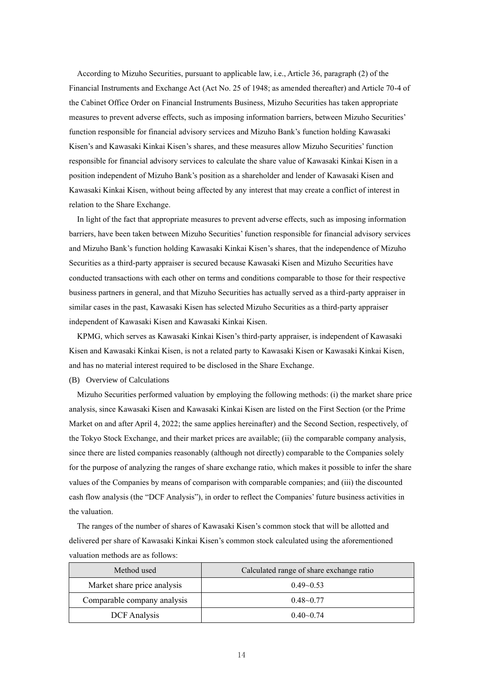According to Mizuho Securities, pursuant to applicable law, i.e., Article 36, paragraph (2) of the Financial Instruments and Exchange Act (Act No. 25 of 1948; as amended thereafter) and Article 70-4 of the Cabinet Office Order on Financial Instruments Business, Mizuho Securities has taken appropriate measures to prevent adverse effects, such as imposing information barriers, between Mizuho Securities' function responsible for financial advisory services and Mizuho Bank's function holding Kawasaki Kisen's and Kawasaki Kinkai Kisen's shares, and these measures allow Mizuho Securities' function responsible for financial advisory services to calculate the share value of Kawasaki Kinkai Kisen in a position independent of Mizuho Bank's position as a shareholder and lender of Kawasaki Kisen and Kawasaki Kinkai Kisen, without being affected by any interest that may create a conflict of interest in relation to the Share Exchange.

In light of the fact that appropriate measures to prevent adverse effects, such as imposing information barriers, have been taken between Mizuho Securities' function responsible for financial advisory services and Mizuho Bank's function holding Kawasaki Kinkai Kisen's shares, that the independence of Mizuho Securities as a third-party appraiser is secured because Kawasaki Kisen and Mizuho Securities have conducted transactions with each other on terms and conditions comparable to those for their respective business partners in general, and that Mizuho Securities has actually served as a third-party appraiser in similar cases in the past, Kawasaki Kisen has selected Mizuho Securities as a third-party appraiser independent of Kawasaki Kisen and Kawasaki Kinkai Kisen.

KPMG, which serves as Kawasaki Kinkai Kisen's third-party appraiser, is independent of Kawasaki Kisen and Kawasaki Kinkai Kisen, is not a related party to Kawasaki Kisen or Kawasaki Kinkai Kisen, and has no material interest required to be disclosed in the Share Exchange.

#### (B) Overview of Calculations

Mizuho Securities performed valuation by employing the following methods: (i) the market share price analysis, since Kawasaki Kisen and Kawasaki Kinkai Kisen are listed on the First Section (or the Prime Market on and after April 4, 2022; the same applies hereinafter) and the Second Section, respectively, of the Tokyo Stock Exchange, and their market prices are available; (ii) the comparable company analysis, since there are listed companies reasonably (although not directly) comparable to the Companies solely for the purpose of analyzing the ranges of share exchange ratio, which makes it possible to infer the share values of the Companies by means of comparison with comparable companies; and (iii) the discounted cash flow analysis (the "DCF Analysis"), in order to reflect the Companies' future business activities in the valuation.

The ranges of the number of shares of Kawasaki Kisen's common stock that will be allotted and delivered per share of Kawasaki Kinkai Kisen's common stock calculated using the aforementioned valuation methods are as follows:

| Method used                 | Calculated range of share exchange ratio |
|-----------------------------|------------------------------------------|
| Market share price analysis | $0.49 - 0.53$                            |
| Comparable company analysis | $0.48 - 0.77$                            |
| <b>DCF</b> Analysis         | $0.40 - 0.74$                            |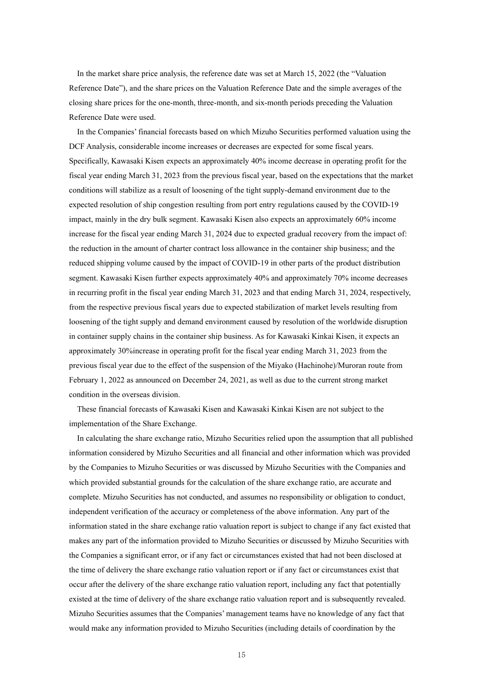In the market share price analysis, the reference date was set at March 15, 2022 (the "Valuation Reference Date"), and the share prices on the Valuation Reference Date and the simple averages of the closing share prices for the one-month, three-month, and six-month periods preceding the Valuation Reference Date were used.

In the Companies' financial forecasts based on which Mizuho Securities performed valuation using the DCF Analysis, considerable income increases or decreases are expected for some fiscal years. Specifically, Kawasaki Kisen expects an approximately 40% income decrease in operating profit for the fiscal year ending March 31, 2023 from the previous fiscal year, based on the expectations that the market conditions will stabilize as a result of loosening of the tight supply-demand environment due to the expected resolution of ship congestion resulting from port entry regulations caused by the COVID-19 impact, mainly in the dry bulk segment. Kawasaki Kisen also expects an approximately 60% income increase for the fiscal year ending March 31, 2024 due to expected gradual recovery from the impact of: the reduction in the amount of charter contract loss allowance in the container ship business; and the reduced shipping volume caused by the impact of COVID-19 in other parts of the product distribution segment. Kawasaki Kisen further expects approximately 40% and approximately 70% income decreases in recurring profit in the fiscal year ending March 31, 2023 and that ending March 31, 2024, respectively, from the respective previous fiscal years due to expected stabilization of market levels resulting from loosening of the tight supply and demand environment caused by resolution of the worldwide disruption in container supply chains in the container ship business. As for Kawasaki Kinkai Kisen, it expects an approximately 30%increase in operating profit for the fiscal year ending March 31, 2023 from the previous fiscal year due to the effect of the suspension of the Miyako (Hachinohe)/Muroran route from February 1, 2022 as announced on December 24, 2021, as well as due to the current strong market condition in the overseas division.

These financial forecasts of Kawasaki Kisen and Kawasaki Kinkai Kisen are not subject to the implementation of the Share Exchange.

In calculating the share exchange ratio, Mizuho Securities relied upon the assumption that all published information considered by Mizuho Securities and all financial and other information which was provided by the Companies to Mizuho Securities or was discussed by Mizuho Securities with the Companies and which provided substantial grounds for the calculation of the share exchange ratio, are accurate and complete. Mizuho Securities has not conducted, and assumes no responsibility or obligation to conduct, independent verification of the accuracy or completeness of the above information. Any part of the information stated in the share exchange ratio valuation report is subject to change if any fact existed that makes any part of the information provided to Mizuho Securities or discussed by Mizuho Securities with the Companies a significant error, or if any fact or circumstances existed that had not been disclosed at the time of delivery the share exchange ratio valuation report or if any fact or circumstances exist that occur after the delivery of the share exchange ratio valuation report, including any fact that potentially existed at the time of delivery of the share exchange ratio valuation report and is subsequently revealed. Mizuho Securities assumes that the Companies' management teams have no knowledge of any fact that would make any information provided to Mizuho Securities (including details of coordination by the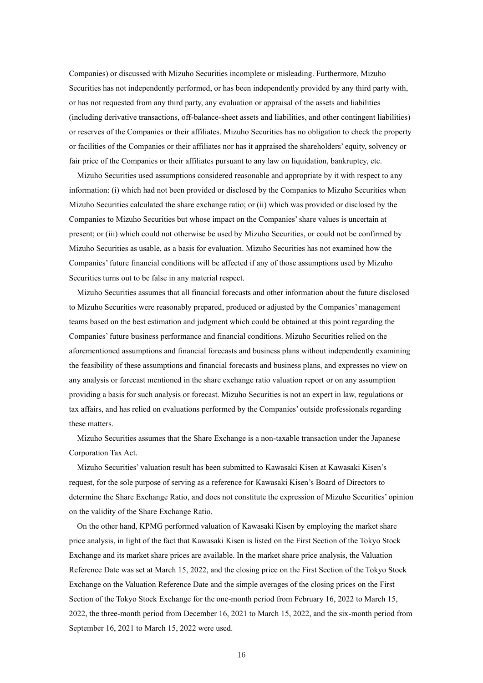Companies) or discussed with Mizuho Securities incomplete or misleading. Furthermore, Mizuho Securities has not independently performed, or has been independently provided by any third party with, or has not requested from any third party, any evaluation or appraisal of the assets and liabilities (including derivative transactions, off-balance-sheet assets and liabilities, and other contingent liabilities) or reserves of the Companies or their affiliates. Mizuho Securities has no obligation to check the property or facilities of the Companies or their affiliates nor has it appraised the shareholders' equity, solvency or fair price of the Companies or their affiliates pursuant to any law on liquidation, bankruptcy, etc.

Mizuho Securities used assumptions considered reasonable and appropriate by it with respect to any information: (i) which had not been provided or disclosed by the Companies to Mizuho Securities when Mizuho Securities calculated the share exchange ratio; or (ii) which was provided or disclosed by the Companies to Mizuho Securities but whose impact on the Companies' share values is uncertain at present; or (iii) which could not otherwise be used by Mizuho Securities, or could not be confirmed by Mizuho Securities as usable, as a basis for evaluation. Mizuho Securities has not examined how the Companies' future financial conditions will be affected if any of those assumptions used by Mizuho Securities turns out to be false in any material respect.

Mizuho Securities assumes that all financial forecasts and other information about the future disclosed to Mizuho Securities were reasonably prepared, produced or adjusted by the Companies' management teams based on the best estimation and judgment which could be obtained at this point regarding the Companies' future business performance and financial conditions. Mizuho Securities relied on the aforementioned assumptions and financial forecasts and business plans without independently examining the feasibility of these assumptions and financial forecasts and business plans, and expresses no view on any analysis or forecast mentioned in the share exchange ratio valuation report or on any assumption providing a basis for such analysis or forecast. Mizuho Securities is not an expert in law, regulations or tax affairs, and has relied on evaluations performed by the Companies' outside professionals regarding these matters.

Mizuho Securities assumes that the Share Exchange is a non-taxable transaction under the Japanese Corporation Tax Act.

Mizuho Securities' valuation result has been submitted to Kawasaki Kisen at Kawasaki Kisen's request, for the sole purpose of serving as a reference for Kawasaki Kisen's Board of Directors to determine the Share Exchange Ratio, and does not constitute the expression of Mizuho Securities' opinion on the validity of the Share Exchange Ratio.

On the other hand, KPMG performed valuation of Kawasaki Kisen by employing the market share price analysis, in light of the fact that Kawasaki Kisen is listed on the First Section of the Tokyo Stock Exchange and its market share prices are available. In the market share price analysis, the Valuation Reference Date was set at March 15, 2022, and the closing price on the First Section of the Tokyo Stock Exchange on the Valuation Reference Date and the simple averages of the closing prices on the First Section of the Tokyo Stock Exchange for the one-month period from February 16, 2022 to March 15, 2022, the three-month period from December 16, 2021 to March 15, 2022, and the six-month period from September 16, 2021 to March 15, 2022 were used.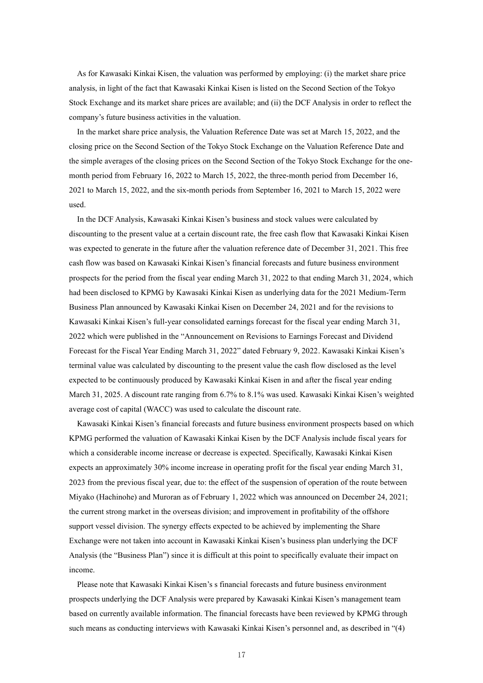As for Kawasaki Kinkai Kisen, the valuation was performed by employing: (i) the market share price analysis, in light of the fact that Kawasaki Kinkai Kisen is listed on the Second Section of the Tokyo Stock Exchange and its market share prices are available; and (ii) the DCF Analysis in order to reflect the company's future business activities in the valuation.

In the market share price analysis, the Valuation Reference Date was set at March 15, 2022, and the closing price on the Second Section of the Tokyo Stock Exchange on the Valuation Reference Date and the simple averages of the closing prices on the Second Section of the Tokyo Stock Exchange for the onemonth period from February 16, 2022 to March 15, 2022, the three-month period from December 16, 2021 to March 15, 2022, and the six-month periods from September 16, 2021 to March 15, 2022 were used.

In the DCF Analysis, Kawasaki Kinkai Kisen's business and stock values were calculated by discounting to the present value at a certain discount rate, the free cash flow that Kawasaki Kinkai Kisen was expected to generate in the future after the valuation reference date of December 31, 2021. This free cash flow was based on Kawasaki Kinkai Kisen's financial forecasts and future business environment prospects for the period from the fiscal year ending March 31, 2022 to that ending March 31, 2024, which had been disclosed to KPMG by Kawasaki Kinkai Kisen as underlying data for the 2021 Medium-Term Business Plan announced by Kawasaki Kinkai Kisen on December 24, 2021 and for the revisions to Kawasaki Kinkai Kisen's full-year consolidated earnings forecast for the fiscal year ending March 31, 2022 which were published in the "Announcement on Revisions to Earnings Forecast and Dividend Forecast for the Fiscal Year Ending March 31, 2022" dated February 9, 2022. Kawasaki Kinkai Kisen's terminal value was calculated by discounting to the present value the cash flow disclosed as the level expected to be continuously produced by Kawasaki Kinkai Kisen in and after the fiscal year ending March 31, 2025. A discount rate ranging from 6.7% to 8.1% was used. Kawasaki Kinkai Kisen's weighted average cost of capital (WACC) was used to calculate the discount rate.

Kawasaki Kinkai Kisen's financial forecasts and future business environment prospects based on which KPMG performed the valuation of Kawasaki Kinkai Kisen by the DCF Analysis include fiscal years for which a considerable income increase or decrease is expected. Specifically, Kawasaki Kinkai Kisen expects an approximately 30% income increase in operating profit for the fiscal year ending March 31, 2023 from the previous fiscal year, due to: the effect of the suspension of operation of the route between Miyako (Hachinohe) and Muroran as of February 1, 2022 which was announced on December 24, 2021; the current strong market in the overseas division; and improvement in profitability of the offshore support vessel division. The synergy effects expected to be achieved by implementing the Share Exchange were not taken into account in Kawasaki Kinkai Kisen's business plan underlying the DCF Analysis (the "Business Plan") since it is difficult at this point to specifically evaluate their impact on income.

Please note that Kawasaki Kinkai Kisen's s financial forecasts and future business environment prospects underlying the DCF Analysis were prepared by Kawasaki Kinkai Kisen's management team based on currently available information. The financial forecasts have been reviewed by KPMG through such means as conducting interviews with Kawasaki Kinkai Kisen's personnel and, as described in "(4)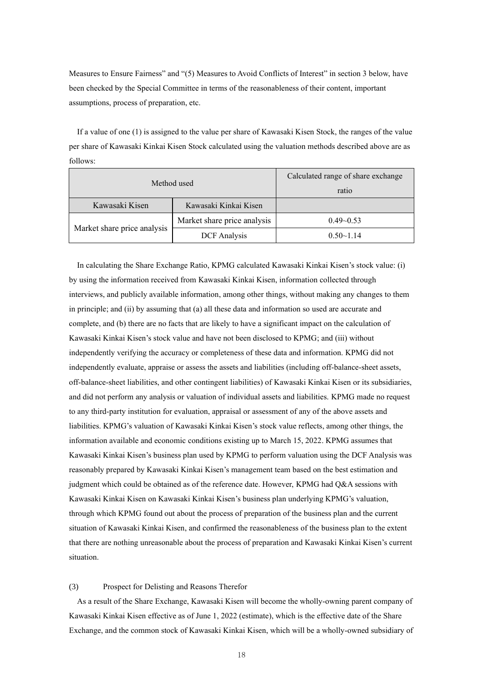Measures to Ensure Fairness" and "(5) Measures to Avoid Conflicts of Interest" in section 3 below, have been checked by the Special Committee in terms of the reasonableness of their content, important assumptions, process of preparation, etc.

If a value of one (1) is assigned to the value per share of Kawasaki Kisen Stock, the ranges of the value per share of Kawasaki Kinkai Kisen Stock calculated using the valuation methods described above are as follows:

|                                         | Calculated range of share exchange |               |
|-----------------------------------------|------------------------------------|---------------|
| Method used                             |                                    | ratio         |
| Kawasaki Kisen<br>Kawasaki Kinkai Kisen |                                    |               |
|                                         | Market share price analysis        | $0.49 - 0.53$ |
| Market share price analysis             | <b>DCF</b> Analysis                | $0.50 - 1.14$ |

In calculating the Share Exchange Ratio, KPMG calculated Kawasaki Kinkai Kisen's stock value: (i) by using the information received from Kawasaki Kinkai Kisen, information collected through interviews, and publicly available information, among other things, without making any changes to them in principle; and (ii) by assuming that (a) all these data and information so used are accurate and complete, and (b) there are no facts that are likely to have a significant impact on the calculation of Kawasaki Kinkai Kisen's stock value and have not been disclosed to KPMG; and (iii) without independently verifying the accuracy or completeness of these data and information. KPMG did not independently evaluate, appraise or assess the assets and liabilities (including off-balance-sheet assets, off-balance-sheet liabilities, and other contingent liabilities) of Kawasaki Kinkai Kisen or its subsidiaries, and did not perform any analysis or valuation of individual assets and liabilities. KPMG made no request to any third-party institution for evaluation, appraisal or assessment of any of the above assets and liabilities. KPMG's valuation of Kawasaki Kinkai Kisen's stock value reflects, among other things, the information available and economic conditions existing up to March 15, 2022. KPMG assumes that Kawasaki Kinkai Kisen's business plan used by KPMG to perform valuation using the DCF Analysis was reasonably prepared by Kawasaki Kinkai Kisen's management team based on the best estimation and judgment which could be obtained as of the reference date. However, KPMG had Q&A sessions with Kawasaki Kinkai Kisen on Kawasaki Kinkai Kisen's business plan underlying KPMG's valuation, through which KPMG found out about the process of preparation of the business plan and the current situation of Kawasaki Kinkai Kisen, and confirmed the reasonableness of the business plan to the extent that there are nothing unreasonable about the process of preparation and Kawasaki Kinkai Kisen's current situation.

#### (3) Prospect for Delisting and Reasons Therefor

As a result of the Share Exchange, Kawasaki Kisen will become the wholly-owning parent company of Kawasaki Kinkai Kisen effective as of June 1, 2022 (estimate), which is the effective date of the Share Exchange, and the common stock of Kawasaki Kinkai Kisen, which will be a wholly-owned subsidiary of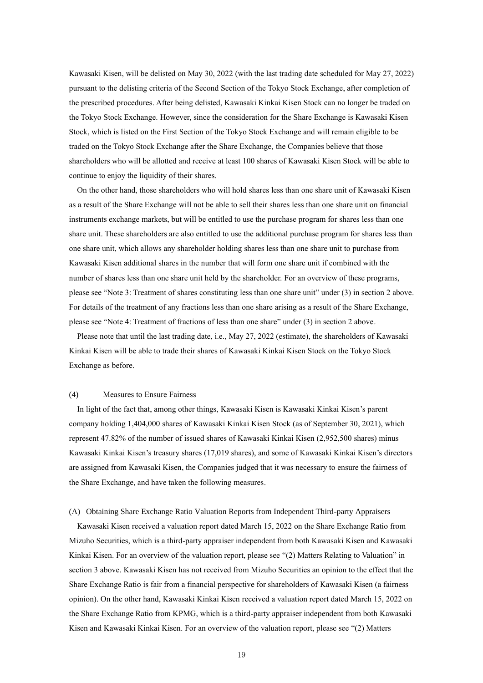Kawasaki Kisen, will be delisted on May 30, 2022 (with the last trading date scheduled for May 27, 2022) pursuant to the delisting criteria of the Second Section of the Tokyo Stock Exchange, after completion of the prescribed procedures. After being delisted, Kawasaki Kinkai Kisen Stock can no longer be traded on the Tokyo Stock Exchange. However, since the consideration for the Share Exchange is Kawasaki Kisen Stock, which is listed on the First Section of the Tokyo Stock Exchange and will remain eligible to be traded on the Tokyo Stock Exchange after the Share Exchange, the Companies believe that those shareholders who will be allotted and receive at least 100 shares of Kawasaki Kisen Stock will be able to continue to enjoy the liquidity of their shares.

On the other hand, those shareholders who will hold shares less than one share unit of Kawasaki Kisen as a result of the Share Exchange will not be able to sell their shares less than one share unit on financial instruments exchange markets, but will be entitled to use the purchase program for shares less than one share unit. These shareholders are also entitled to use the additional purchase program for shares less than one share unit, which allows any shareholder holding shares less than one share unit to purchase from Kawasaki Kisen additional shares in the number that will form one share unit if combined with the number of shares less than one share unit held by the shareholder. For an overview of these programs, please see "Note 3: Treatment of shares constituting less than one share unit" under (3) in section 2 above. For details of the treatment of any fractions less than one share arising as a result of the Share Exchange, please see "Note 4: Treatment of fractions of less than one share" under (3) in section 2 above.

Please note that until the last trading date, i.e., May 27, 2022 (estimate), the shareholders of Kawasaki Kinkai Kisen will be able to trade their shares of Kawasaki Kinkai Kisen Stock on the Tokyo Stock Exchange as before.

#### (4) Measures to Ensure Fairness

In light of the fact that, among other things, Kawasaki Kisen is Kawasaki Kinkai Kisen's parent company holding 1,404,000 shares of Kawasaki Kinkai Kisen Stock (as of September 30, 2021), which represent 47.82% of the number of issued shares of Kawasaki Kinkai Kisen (2,952,500 shares) minus Kawasaki Kinkai Kisen's treasury shares (17,019 shares), and some of Kawasaki Kinkai Kisen's directors are assigned from Kawasaki Kisen, the Companies judged that it was necessary to ensure the fairness of the Share Exchange, and have taken the following measures.

#### (A) Obtaining Share Exchange Ratio Valuation Reports from Independent Third-party Appraisers

Kawasaki Kisen received a valuation report dated March 15, 2022 on the Share Exchange Ratio from Mizuho Securities, which is a third-party appraiser independent from both Kawasaki Kisen and Kawasaki Kinkai Kisen. For an overview of the valuation report, please see "(2) Matters Relating to Valuation" in section 3 above. Kawasaki Kisen has not received from Mizuho Securities an opinion to the effect that the Share Exchange Ratio is fair from a financial perspective for shareholders of Kawasaki Kisen (a fairness opinion). On the other hand, Kawasaki Kinkai Kisen received a valuation report dated March 15, 2022 on the Share Exchange Ratio from KPMG, which is a third-party appraiser independent from both Kawasaki Kisen and Kawasaki Kinkai Kisen. For an overview of the valuation report, please see "(2) Matters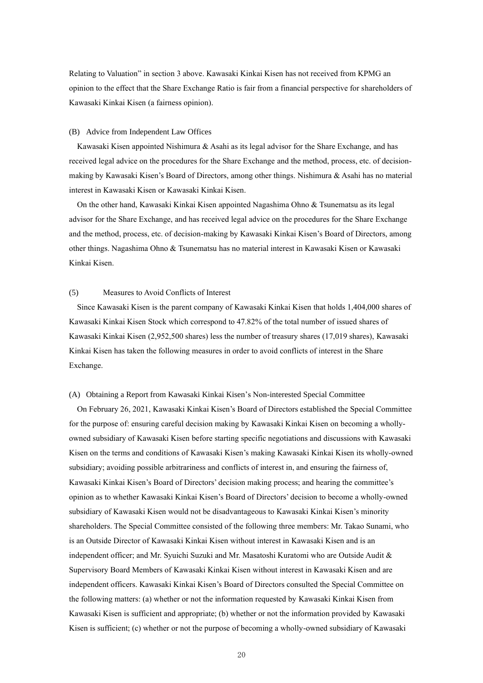Relating to Valuation" in section 3 above. Kawasaki Kinkai Kisen has not received from KPMG an opinion to the effect that the Share Exchange Ratio is fair from a financial perspective for shareholders of Kawasaki Kinkai Kisen (a fairness opinion).

#### (B) Advice from Independent Law Offices

Kawasaki Kisen appointed Nishimura & Asahi as its legal advisor for the Share Exchange, and has received legal advice on the procedures for the Share Exchange and the method, process, etc. of decisionmaking by Kawasaki Kisen's Board of Directors, among other things. Nishimura & Asahi has no material interest in Kawasaki Kisen or Kawasaki Kinkai Kisen.

On the other hand, Kawasaki Kinkai Kisen appointed Nagashima Ohno & Tsunematsu as its legal advisor for the Share Exchange, and has received legal advice on the procedures for the Share Exchange and the method, process, etc. of decision-making by Kawasaki Kinkai Kisen's Board of Directors, among other things. Nagashima Ohno & Tsunematsu has no material interest in Kawasaki Kisen or Kawasaki Kinkai Kisen.

# (5) Measures to Avoid Conflicts of Interest

Since Kawasaki Kisen is the parent company of Kawasaki Kinkai Kisen that holds 1,404,000 shares of Kawasaki Kinkai Kisen Stock which correspond to 47.82% of the total number of issued shares of Kawasaki Kinkai Kisen (2,952,500 shares) less the number of treasury shares (17,019 shares), Kawasaki Kinkai Kisen has taken the following measures in order to avoid conflicts of interest in the Share Exchange.

# (A) Obtaining a Report from Kawasaki Kinkai Kisen's Non-interested Special Committee

On February 26, 2021, Kawasaki Kinkai Kisen's Board of Directors established the Special Committee for the purpose of: ensuring careful decision making by Kawasaki Kinkai Kisen on becoming a whollyowned subsidiary of Kawasaki Kisen before starting specific negotiations and discussions with Kawasaki Kisen on the terms and conditions of Kawasaki Kisen's making Kawasaki Kinkai Kisen its wholly-owned subsidiary; avoiding possible arbitrariness and conflicts of interest in, and ensuring the fairness of, Kawasaki Kinkai Kisen's Board of Directors' decision making process; and hearing the committee's opinion as to whether Kawasaki Kinkai Kisen's Board of Directors' decision to become a wholly-owned subsidiary of Kawasaki Kisen would not be disadvantageous to Kawasaki Kinkai Kisen's minority shareholders. The Special Committee consisted of the following three members: Mr. Takao Sunami, who is an Outside Director of Kawasaki Kinkai Kisen without interest in Kawasaki Kisen and is an independent officer; and Mr. Syuichi Suzuki and Mr. Masatoshi Kuratomi who are Outside Audit  $\&$ Supervisory Board Members of Kawasaki Kinkai Kisen without interest in Kawasaki Kisen and are independent officers. Kawasaki Kinkai Kisen's Board of Directors consulted the Special Committee on the following matters: (a) whether or not the information requested by Kawasaki Kinkai Kisen from Kawasaki Kisen is sufficient and appropriate; (b) whether or not the information provided by Kawasaki Kisen is sufficient; (c) whether or not the purpose of becoming a wholly-owned subsidiary of Kawasaki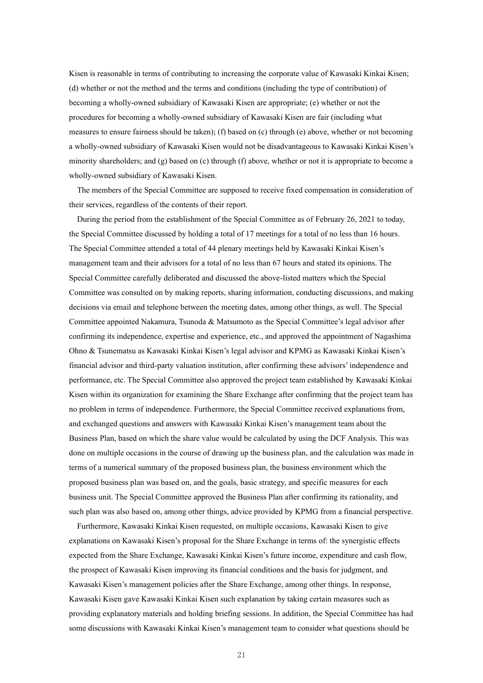Kisen is reasonable in terms of contributing to increasing the corporate value of Kawasaki Kinkai Kisen; (d) whether or not the method and the terms and conditions (including the type of contribution) of becoming a wholly-owned subsidiary of Kawasaki Kisen are appropriate; (e) whether or not the procedures for becoming a wholly-owned subsidiary of Kawasaki Kisen are fair (including what measures to ensure fairness should be taken); (f) based on (c) through (e) above, whether or not becoming a wholly-owned subsidiary of Kawasaki Kisen would not be disadvantageous to Kawasaki Kinkai Kisen's minority shareholders; and (g) based on (c) through (f) above, whether or not it is appropriate to become a wholly-owned subsidiary of Kawasaki Kisen.

The members of the Special Committee are supposed to receive fixed compensation in consideration of their services, regardless of the contents of their report.

During the period from the establishment of the Special Committee as of February 26, 2021 to today, the Special Committee discussed by holding a total of 17 meetings for a total of no less than 16 hours. The Special Committee attended a total of 44 plenary meetings held by Kawasaki Kinkai Kisen's management team and their advisors for a total of no less than 67 hours and stated its opinions. The Special Committee carefully deliberated and discussed the above-listed matters which the Special Committee was consulted on by making reports, sharing information, conducting discussions, and making decisions via email and telephone between the meeting dates, among other things, as well. The Special Committee appointed Nakamura, Tsunoda & Matsumoto as the Special Committee's legal advisor after confirming its independence, expertise and experience, etc., and approved the appointment of Nagashima Ohno & Tsunematsu as Kawasaki Kinkai Kisen's legal advisor and KPMG as Kawasaki Kinkai Kisen's financial advisor and third-party valuation institution, after confirming these advisors' independence and performance, etc. The Special Committee also approved the project team established by Kawasaki Kinkai Kisen within its organization for examining the Share Exchange after confirming that the project team has no problem in terms of independence. Furthermore, the Special Committee received explanations from, and exchanged questions and answers with Kawasaki Kinkai Kisen's management team about the Business Plan, based on which the share value would be calculated by using the DCF Analysis. This was done on multiple occasions in the course of drawing up the business plan, and the calculation was made in terms of a numerical summary of the proposed business plan, the business environment which the proposed business plan was based on, and the goals, basic strategy, and specific measures for each business unit. The Special Committee approved the Business Plan after confirming its rationality, and such plan was also based on, among other things, advice provided by KPMG from a financial perspective.

Furthermore, Kawasaki Kinkai Kisen requested, on multiple occasions, Kawasaki Kisen to give explanations on Kawasaki Kisen's proposal for the Share Exchange in terms of: the synergistic effects expected from the Share Exchange, Kawasaki Kinkai Kisen's future income, expenditure and cash flow, the prospect of Kawasaki Kisen improving its financial conditions and the basis for judgment, and Kawasaki Kisen's management policies after the Share Exchange, among other things. In response, Kawasaki Kisen gave Kawasaki Kinkai Kisen such explanation by taking certain measures such as providing explanatory materials and holding briefing sessions. In addition, the Special Committee has had some discussions with Kawasaki Kinkai Kisen's management team to consider what questions should be

21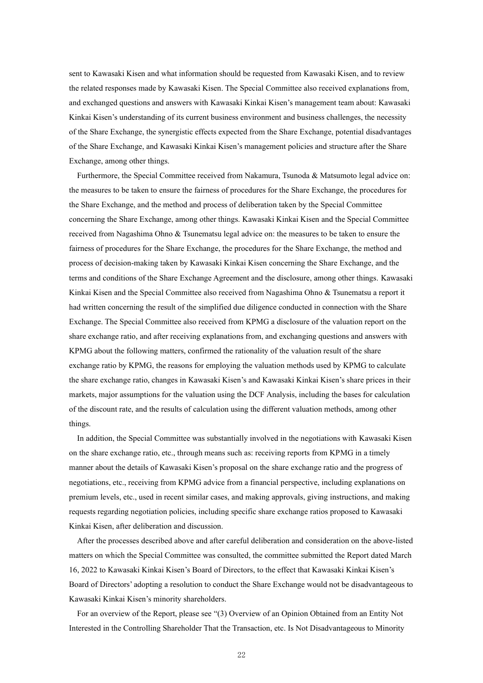sent to Kawasaki Kisen and what information should be requested from Kawasaki Kisen, and to review the related responses made by Kawasaki Kisen. The Special Committee also received explanations from, and exchanged questions and answers with Kawasaki Kinkai Kisen's management team about: Kawasaki Kinkai Kisen's understanding of its current business environment and business challenges, the necessity of the Share Exchange, the synergistic effects expected from the Share Exchange, potential disadvantages of the Share Exchange, and Kawasaki Kinkai Kisen's management policies and structure after the Share Exchange, among other things.

Furthermore, the Special Committee received from Nakamura, Tsunoda & Matsumoto legal advice on: the measures to be taken to ensure the fairness of procedures for the Share Exchange, the procedures for the Share Exchange, and the method and process of deliberation taken by the Special Committee concerning the Share Exchange, among other things. Kawasaki Kinkai Kisen and the Special Committee received from Nagashima Ohno & Tsunematsu legal advice on: the measures to be taken to ensure the fairness of procedures for the Share Exchange, the procedures for the Share Exchange, the method and process of decision-making taken by Kawasaki Kinkai Kisen concerning the Share Exchange, and the terms and conditions of the Share Exchange Agreement and the disclosure, among other things. Kawasaki Kinkai Kisen and the Special Committee also received from Nagashima Ohno & Tsunematsu a report it had written concerning the result of the simplified due diligence conducted in connection with the Share Exchange. The Special Committee also received from KPMG a disclosure of the valuation report on the share exchange ratio, and after receiving explanations from, and exchanging questions and answers with KPMG about the following matters, confirmed the rationality of the valuation result of the share exchange ratio by KPMG, the reasons for employing the valuation methods used by KPMG to calculate the share exchange ratio, changes in Kawasaki Kisen's and Kawasaki Kinkai Kisen's share prices in their markets, major assumptions for the valuation using the DCF Analysis, including the bases for calculation of the discount rate, and the results of calculation using the different valuation methods, among other things.

In addition, the Special Committee was substantially involved in the negotiations with Kawasaki Kisen on the share exchange ratio, etc., through means such as: receiving reports from KPMG in a timely manner about the details of Kawasaki Kisen's proposal on the share exchange ratio and the progress of negotiations, etc., receiving from KPMG advice from a financial perspective, including explanations on premium levels, etc., used in recent similar cases, and making approvals, giving instructions, and making requests regarding negotiation policies, including specific share exchange ratios proposed to Kawasaki Kinkai Kisen, after deliberation and discussion.

After the processes described above and after careful deliberation and consideration on the above-listed matters on which the Special Committee was consulted, the committee submitted the Report dated March 16, 2022 to Kawasaki Kinkai Kisen's Board of Directors, to the effect that Kawasaki Kinkai Kisen's Board of Directors' adopting a resolution to conduct the Share Exchange would not be disadvantageous to Kawasaki Kinkai Kisen's minority shareholders.

For an overview of the Report, please see "(3) Overview of an Opinion Obtained from an Entity Not Interested in the Controlling Shareholder That the Transaction, etc. Is Not Disadvantageous to Minority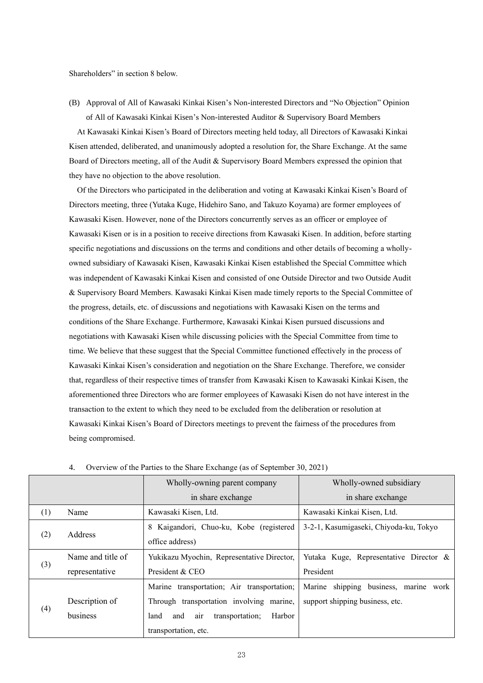Shareholders" in section 8 below.

(B) Approval of All of Kawasaki Kinkai Kisen's Non-interested Directors and "No Objection" Opinion of All of Kawasaki Kinkai Kisen's Non-interested Auditor & Supervisory Board Members At Kawasaki Kinkai Kisen's Board of Directors meeting held today, all Directors of Kawasaki Kinkai Kisen attended, deliberated, and unanimously adopted a resolution for, the Share Exchange. At the same Board of Directors meeting, all of the Audit & Supervisory Board Members expressed the opinion that

they have no objection to the above resolution.

Of the Directors who participated in the deliberation and voting at Kawasaki Kinkai Kisen's Board of Directors meeting, three (Yutaka Kuge, Hidehiro Sano, and Takuzo Koyama) are former employees of Kawasaki Kisen. However, none of the Directors concurrently serves as an officer or employee of Kawasaki Kisen or is in a position to receive directions from Kawasaki Kisen. In addition, before starting specific negotiations and discussions on the terms and conditions and other details of becoming a whollyowned subsidiary of Kawasaki Kisen, Kawasaki Kinkai Kisen established the Special Committee which was independent of Kawasaki Kinkai Kisen and consisted of one Outside Director and two Outside Audit & Supervisory Board Members. Kawasaki Kinkai Kisen made timely reports to the Special Committee of the progress, details, etc. of discussions and negotiations with Kawasaki Kisen on the terms and conditions of the Share Exchange. Furthermore, Kawasaki Kinkai Kisen pursued discussions and negotiations with Kawasaki Kisen while discussing policies with the Special Committee from time to time. We believe that these suggest that the Special Committee functioned effectively in the process of Kawasaki Kinkai Kisen's consideration and negotiation on the Share Exchange. Therefore, we consider that, regardless of their respective times of transfer from Kawasaki Kisen to Kawasaki Kinkai Kisen, the aforementioned three Directors who are former employees of Kawasaki Kisen do not have interest in the transaction to the extent to which they need to be excluded from the deliberation or resolution at Kawasaki Kinkai Kisen's Board of Directors meetings to prevent the fairness of the procedures from being compromised.

|                                          |                   | Wholly-owning parent company                    | Wholly-owned subsidiary                  |  |
|------------------------------------------|-------------------|-------------------------------------------------|------------------------------------------|--|
|                                          |                   | in share exchange                               | in share exchange                        |  |
| (1)                                      | Name              | Kawasaki Kisen, Ltd.                            | Kawasaki Kinkai Kisen, Ltd.              |  |
|                                          | Address           | 8 Kaigandori, Chuo-ku, Kobe (registered         | 3-2-1, Kasumigaseki, Chiyoda-ku, Tokyo   |  |
| (2)                                      |                   | office address)                                 |                                          |  |
|                                          | Name and title of | Yukikazu Myochin, Representative Director,      | Yutaka Kuge, Representative Director &   |  |
| (3)<br>President & CEO<br>representative |                   | President                                       |                                          |  |
|                                          |                   | Marine transportation; Air transportation;      | Marine<br>shipping business, marine work |  |
|                                          | Description of    | Through transportation involving marine,        | support shipping business, etc.          |  |
| (4)                                      | business          | Harbor<br>transportation;<br>and<br>land<br>air |                                          |  |
|                                          |                   | transportation, etc.                            |                                          |  |

4. Overview of the Parties to the Share Exchange (as of September 30, 2021)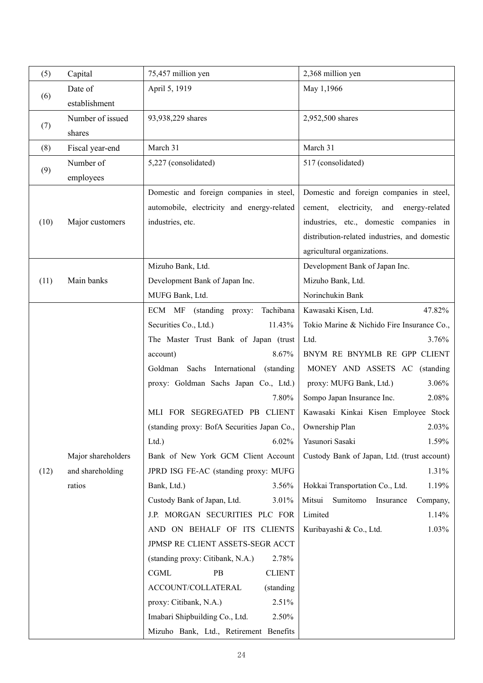| (5)  | Capital            | 75,457 million yen                              | 2,368 million yen                                |  |
|------|--------------------|-------------------------------------------------|--------------------------------------------------|--|
|      | Date of            | April 5, 1919                                   | May 1,1966                                       |  |
| (6)  | establishment      |                                                 |                                                  |  |
|      | Number of issued   | 93,938,229 shares                               | 2,952,500 shares                                 |  |
| (7)  | shares             |                                                 |                                                  |  |
| (8)  | Fiscal year-end    | March 31                                        | March 31                                         |  |
|      | Number of          | 5,227 (consolidated)                            | 517 (consolidated)                               |  |
| (9)  | employees          |                                                 |                                                  |  |
|      |                    | Domestic and foreign companies in steel,        | Domestic and foreign companies in steel,         |  |
|      |                    | automobile, electricity and energy-related      | electricity,<br>cement,<br>and<br>energy-related |  |
| (10) | Major customers    | industries, etc.                                | industries, etc., domestic companies in          |  |
|      |                    |                                                 | distribution-related industries, and domestic    |  |
|      |                    |                                                 | agricultural organizations.                      |  |
|      |                    | Mizuho Bank, Ltd.                               | Development Bank of Japan Inc.                   |  |
| (11) | Main banks         | Development Bank of Japan Inc.                  | Mizuho Bank, Ltd.                                |  |
|      |                    | MUFG Bank, Ltd.                                 | Norinchukin Bank                                 |  |
|      |                    | ECM MF (standing proxy:<br>Tachibana            | 47.82%<br>Kawasaki Kisen, Ltd.                   |  |
|      |                    | Securities Co., Ltd.)<br>11.43%                 | Tokio Marine & Nichido Fire Insurance Co.,       |  |
|      |                    | The Master Trust Bank of Japan (trust           | 3.76%<br>Ltd.                                    |  |
|      |                    | 8.67%<br>account)                               | BNYM RE BNYMLB RE GPP CLIENT                     |  |
|      |                    | Sachs<br>International<br>Goldman<br>(standing) | MONEY AND ASSETS AC (standing                    |  |
|      |                    | proxy: Goldman Sachs Japan Co., Ltd.)           | 3.06%<br>proxy: MUFG Bank, Ltd.)                 |  |
|      |                    | 7.80%                                           | 2.08%<br>Sompo Japan Insurance Inc.              |  |
|      |                    | MLI FOR SEGREGATED PB CLIENT                    | Kawasaki Kinkai Kisen Employee Stock             |  |
|      |                    | (standing proxy: BofA Securities Japan Co.,     | 2.03%<br>Ownership Plan                          |  |
|      |                    | $Ltd.$ )<br>$6.02\%$                            | Yasunori Sasaki<br>1.59%                         |  |
|      | Major shareholders | Bank of New York GCM Client Account             | Custody Bank of Japan, Ltd. (trust account)      |  |
| (12) | and shareholding   | JPRD ISG FE-AC (standing proxy: MUFG            | 1.31%                                            |  |
|      | ratios             | Bank, Ltd.)<br>3.56%                            | 1.19%<br>Hokkai Transportation Co., Ltd.         |  |
|      |                    | Custody Bank of Japan, Ltd.<br>3.01%            | Mitsui<br>Sumitomo<br>Insurance<br>Company,      |  |
|      |                    | J.P. MORGAN SECURITIES PLC FOR                  | Limited<br>1.14%                                 |  |
|      |                    | AND ON BEHALF OF ITS CLIENTS                    | 1.03%<br>Kuribayashi & Co., Ltd.                 |  |
|      |                    | JPMSP RE CLIENT ASSETS-SEGR ACCT                |                                                  |  |
|      |                    | (standing proxy: Citibank, N.A.)<br>2.78%       |                                                  |  |
|      |                    | PB<br><b>CLIENT</b><br><b>CGML</b>              |                                                  |  |
|      |                    | ACCOUNT/COLLATERAL<br>(standing                 |                                                  |  |
|      |                    | proxy: Citibank, N.A.)<br>2.51%                 |                                                  |  |
|      |                    | Imabari Shipbuilding Co., Ltd.<br>2.50%         |                                                  |  |
|      |                    | Mizuho Bank, Ltd., Retirement Benefits          |                                                  |  |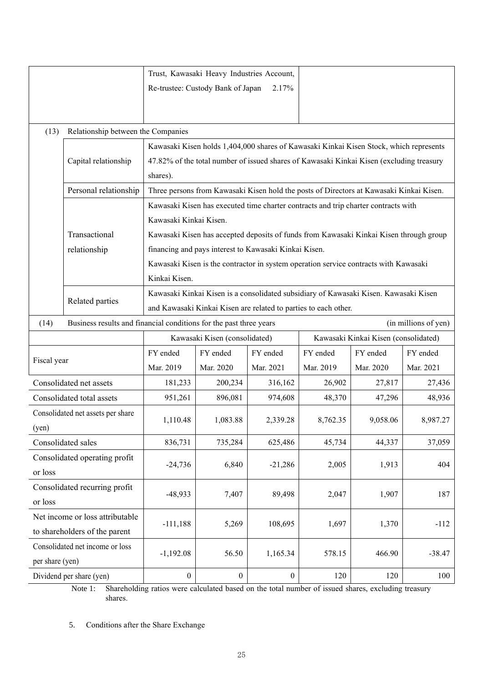|                                 |                                                                       |                        | Trust, Kawasaki Heavy Industries Account,<br>Re-trustee: Custody Bank of Japan           | 2.17%                                                                                   |           |           |                      |
|---------------------------------|-----------------------------------------------------------------------|------------------------|------------------------------------------------------------------------------------------|-----------------------------------------------------------------------------------------|-----------|-----------|----------------------|
| (13)                            | Relationship between the Companies                                    |                        |                                                                                          |                                                                                         |           |           |                      |
|                                 |                                                                       |                        |                                                                                          | Kawasaki Kisen holds 1,404,000 shares of Kawasaki Kinkai Kisen Stock, which represents  |           |           |                      |
|                                 | Capital relationship                                                  |                        |                                                                                          |                                                                                         |           |           |                      |
|                                 |                                                                       | shares).               | 47.82% of the total number of issued shares of Kawasaki Kinkai Kisen (excluding treasury |                                                                                         |           |           |                      |
|                                 | Personal relationship                                                 |                        |                                                                                          | Three persons from Kawasaki Kisen hold the posts of Directors at Kawasaki Kinkai Kisen. |           |           |                      |
|                                 |                                                                       |                        |                                                                                          | Kawasaki Kisen has executed time charter contracts and trip charter contracts with      |           |           |                      |
|                                 |                                                                       | Kawasaki Kinkai Kisen. |                                                                                          |                                                                                         |           |           |                      |
|                                 | Transactional                                                         |                        |                                                                                          | Kawasaki Kisen has accepted deposits of funds from Kawasaki Kinkai Kisen through group  |           |           |                      |
|                                 | relationship                                                          |                        |                                                                                          | financing and pays interest to Kawasaki Kinkai Kisen.                                   |           |           |                      |
|                                 |                                                                       |                        |                                                                                          | Kawasaki Kisen is the contractor in system operation service contracts with Kawasaki    |           |           |                      |
|                                 |                                                                       | Kinkai Kisen.          |                                                                                          |                                                                                         |           |           |                      |
|                                 |                                                                       |                        |                                                                                          | Kawasaki Kinkai Kisen is a consolidated subsidiary of Kawasaki Kisen. Kawasaki Kisen    |           |           |                      |
|                                 | Related parties                                                       |                        |                                                                                          | and Kawasaki Kinkai Kisen are related to parties to each other.                         |           |           |                      |
| (14)                            | Business results and financial conditions for the past three years    |                        |                                                                                          |                                                                                         |           |           | (in millions of yen) |
|                                 | Kawasaki Kisen (consolidated)<br>Kawasaki Kinkai Kisen (consolidated) |                        |                                                                                          |                                                                                         |           |           |                      |
|                                 |                                                                       | FY ended               | FY ended                                                                                 | FY ended                                                                                | FY ended  | FY ended  | FY ended             |
| Fiscal year                     |                                                                       | Mar. 2019              | Mar. 2020                                                                                | Mar. 2021                                                                               | Mar. 2019 | Mar. 2020 | Mar. 2021            |
|                                 | Consolidated net assets                                               | 181,233                | 200,234                                                                                  | 316,162                                                                                 | 26,902    | 27,817    | 27,436               |
|                                 | Consolidated total assets                                             | 951,261                | 896,081                                                                                  | 974,608                                                                                 | 48,370    | 47,296    | 48,936               |
|                                 | Consolidated net assets per share                                     |                        |                                                                                          |                                                                                         |           |           |                      |
| (yen)                           |                                                                       | 1,110.48               | 1,083.88                                                                                 | 2,339.28                                                                                | 8,762.35  | 9,058.06  | 8,987.27             |
|                                 | Consolidated sales                                                    | 836,731                | 735,284                                                                                  | 625,486                                                                                 | 45,734    | 44,337    | 37,059               |
| Consolidated operating profit   |                                                                       | $-24,736$              | 6,840                                                                                    |                                                                                         | 2,005     |           | 404                  |
| or loss                         |                                                                       |                        |                                                                                          | $-21,286$                                                                               |           | 1,913     |                      |
| Consolidated recurring profit   |                                                                       | $-48,933$              | 7,407                                                                                    | 89,498                                                                                  | 2,047     | 1,907     | 187                  |
| or loss                         |                                                                       |                        |                                                                                          |                                                                                         |           |           |                      |
| Net income or loss attributable |                                                                       | $-111,188$             | 5,269                                                                                    | 108,695                                                                                 | 1,697     | 1,370     | $-112$               |
| to shareholders of the parent   |                                                                       |                        |                                                                                          |                                                                                         |           |           |                      |
|                                 | Consolidated net income or loss                                       | $-1,192.08$            | 56.50                                                                                    | 1,165.34                                                                                | 578.15    | 466.90    | $-38.47$             |
| per share (yen)                 |                                                                       |                        |                                                                                          |                                                                                         |           |           |                      |
|                                 | Dividend per share (yen)                                              | $\boldsymbol{0}$       | $\boldsymbol{0}$                                                                         | $\boldsymbol{0}$                                                                        | 120       | 120       | 100                  |

Note 1: Shareholding ratios were calculated based on the total number of issued shares, excluding treasury shares.

5. Conditions after the Share Exchange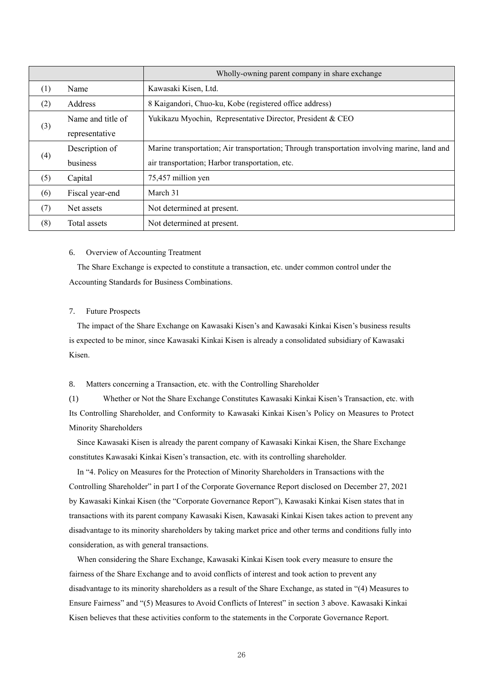|     |                   | Wholly-owning parent company in share exchange                                               |
|-----|-------------------|----------------------------------------------------------------------------------------------|
| (1) | Name              | Kawasaki Kisen, Ltd.                                                                         |
| (2) | Address           | 8 Kaigandori, Chuo-ku, Kobe (registered office address)                                      |
|     | Name and title of | Yukikazu Myochin, Representative Director, President & CEO                                   |
| (3) | representative    |                                                                                              |
|     | Description of    | Marine transportation; Air transportation; Through transportation involving marine, land and |
| (4) | business          | air transportation; Harbor transportation, etc.                                              |
| (5) | Capital           | 75,457 million yen                                                                           |
| (6) | Fiscal year-end   | March 31                                                                                     |
| (7) | Net assets        | Not determined at present.                                                                   |
| (8) | Total assets      | Not determined at present.                                                                   |

# 6. Overview of Accounting Treatment

The Share Exchange is expected to constitute a transaction, etc. under common control under the Accounting Standards for Business Combinations.

#### 7. Future Prospects

The impact of the Share Exchange on Kawasaki Kisen's and Kawasaki Kinkai Kisen's business results is expected to be minor, since Kawasaki Kinkai Kisen is already a consolidated subsidiary of Kawasaki Kisen.

### 8. Matters concerning a Transaction, etc. with the Controlling Shareholder

(1) Whether or Not the Share Exchange Constitutes Kawasaki Kinkai Kisen's Transaction, etc. with Its Controlling Shareholder, and Conformity to Kawasaki Kinkai Kisen's Policy on Measures to Protect Minority Shareholders

Since Kawasaki Kisen is already the parent company of Kawasaki Kinkai Kisen, the Share Exchange constitutes Kawasaki Kinkai Kisen's transaction, etc. with its controlling shareholder.

In "4. Policy on Measures for the Protection of Minority Shareholders in Transactions with the Controlling Shareholder" in part I of the Corporate Governance Report disclosed on December 27, 2021 by Kawasaki Kinkai Kisen (the "Corporate Governance Report"), Kawasaki Kinkai Kisen states that in transactions with its parent company Kawasaki Kisen, Kawasaki Kinkai Kisen takes action to prevent any disadvantage to its minority shareholders by taking market price and other terms and conditions fully into consideration, as with general transactions.

When considering the Share Exchange, Kawasaki Kinkai Kisen took every measure to ensure the fairness of the Share Exchange and to avoid conflicts of interest and took action to prevent any disadvantage to its minority shareholders as a result of the Share Exchange, as stated in "(4) Measures to Ensure Fairness" and "(5) Measures to Avoid Conflicts of Interest" in section 3 above. Kawasaki Kinkai Kisen believes that these activities conform to the statements in the Corporate Governance Report.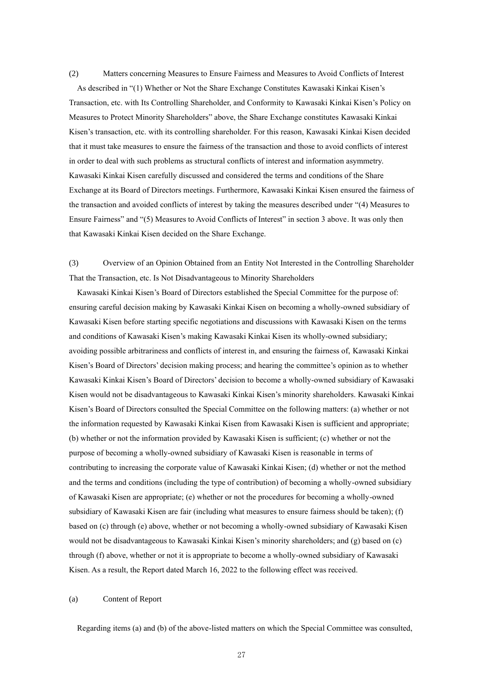(2) Matters concerning Measures to Ensure Fairness and Measures to Avoid Conflicts of Interest As described in "(1) Whether or Not the Share Exchange Constitutes Kawasaki Kinkai Kisen's Transaction, etc. with Its Controlling Shareholder, and Conformity to Kawasaki Kinkai Kisen's Policy on Measures to Protect Minority Shareholders" above, the Share Exchange constitutes Kawasaki Kinkai Kisen's transaction, etc. with its controlling shareholder. For this reason, Kawasaki Kinkai Kisen decided that it must take measures to ensure the fairness of the transaction and those to avoid conflicts of interest in order to deal with such problems as structural conflicts of interest and information asymmetry. Kawasaki Kinkai Kisen carefully discussed and considered the terms and conditions of the Share Exchange at its Board of Directors meetings. Furthermore, Kawasaki Kinkai Kisen ensured the fairness of the transaction and avoided conflicts of interest by taking the measures described under "(4) Measures to Ensure Fairness" and "(5) Measures to Avoid Conflicts of Interest" in section 3 above. It was only then that Kawasaki Kinkai Kisen decided on the Share Exchange.

(3) Overview of an Opinion Obtained from an Entity Not Interested in the Controlling Shareholder That the Transaction, etc. Is Not Disadvantageous to Minority Shareholders

Kawasaki Kinkai Kisen's Board of Directors established the Special Committee for the purpose of: ensuring careful decision making by Kawasaki Kinkai Kisen on becoming a wholly-owned subsidiary of Kawasaki Kisen before starting specific negotiations and discussions with Kawasaki Kisen on the terms and conditions of Kawasaki Kisen's making Kawasaki Kinkai Kisen its wholly-owned subsidiary; avoiding possible arbitrariness and conflicts of interest in, and ensuring the fairness of, Kawasaki Kinkai Kisen's Board of Directors' decision making process; and hearing the committee's opinion as to whether Kawasaki Kinkai Kisen's Board of Directors' decision to become a wholly-owned subsidiary of Kawasaki Kisen would not be disadvantageous to Kawasaki Kinkai Kisen's minority shareholders. Kawasaki Kinkai Kisen's Board of Directors consulted the Special Committee on the following matters: (a) whether or not the information requested by Kawasaki Kinkai Kisen from Kawasaki Kisen is sufficient and appropriate; (b) whether or not the information provided by Kawasaki Kisen is sufficient; (c) whether or not the purpose of becoming a wholly-owned subsidiary of Kawasaki Kisen is reasonable in terms of contributing to increasing the corporate value of Kawasaki Kinkai Kisen; (d) whether or not the method and the terms and conditions (including the type of contribution) of becoming a wholly-owned subsidiary of Kawasaki Kisen are appropriate; (e) whether or not the procedures for becoming a wholly-owned subsidiary of Kawasaki Kisen are fair (including what measures to ensure fairness should be taken); (f) based on (c) through (e) above, whether or not becoming a wholly-owned subsidiary of Kawasaki Kisen would not be disadvantageous to Kawasaki Kinkai Kisen's minority shareholders; and (g) based on (c) through (f) above, whether or not it is appropriate to become a wholly-owned subsidiary of Kawasaki Kisen. As a result, the Report dated March 16, 2022 to the following effect was received.

## (a) Content of Report

Regarding items (a) and (b) of the above-listed matters on which the Special Committee was consulted,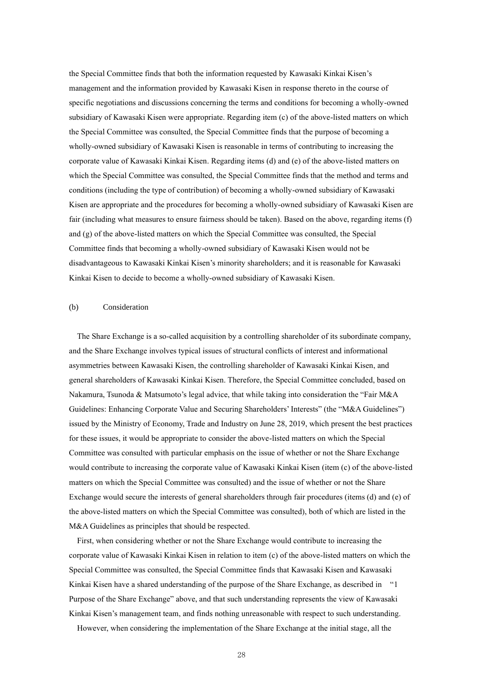the Special Committee finds that both the information requested by Kawasaki Kinkai Kisen's management and the information provided by Kawasaki Kisen in response thereto in the course of specific negotiations and discussions concerning the terms and conditions for becoming a wholly-owned subsidiary of Kawasaki Kisen were appropriate. Regarding item (c) of the above-listed matters on which the Special Committee was consulted, the Special Committee finds that the purpose of becoming a wholly-owned subsidiary of Kawasaki Kisen is reasonable in terms of contributing to increasing the corporate value of Kawasaki Kinkai Kisen. Regarding items (d) and (e) of the above-listed matters on which the Special Committee was consulted, the Special Committee finds that the method and terms and conditions (including the type of contribution) of becoming a wholly-owned subsidiary of Kawasaki Kisen are appropriate and the procedures for becoming a wholly-owned subsidiary of Kawasaki Kisen are fair (including what measures to ensure fairness should be taken). Based on the above, regarding items (f) and (g) of the above-listed matters on which the Special Committee was consulted, the Special Committee finds that becoming a wholly-owned subsidiary of Kawasaki Kisen would not be disadvantageous to Kawasaki Kinkai Kisen's minority shareholders; and it is reasonable for Kawasaki Kinkai Kisen to decide to become a wholly-owned subsidiary of Kawasaki Kisen.

#### (b) Consideration

The Share Exchange is a so-called acquisition by a controlling shareholder of its subordinate company, and the Share Exchange involves typical issues of structural conflicts of interest and informational asymmetries between Kawasaki Kisen, the controlling shareholder of Kawasaki Kinkai Kisen, and general shareholders of Kawasaki Kinkai Kisen. Therefore, the Special Committee concluded, based on Nakamura, Tsunoda & Matsumoto's legal advice, that while taking into consideration the "Fair M&A Guidelines: Enhancing Corporate Value and Securing Shareholders' Interests" (the "M&A Guidelines") issued by the Ministry of Economy, Trade and Industry on June 28, 2019, which present the best practices for these issues, it would be appropriate to consider the above-listed matters on which the Special Committee was consulted with particular emphasis on the issue of whether or not the Share Exchange would contribute to increasing the corporate value of Kawasaki Kinkai Kisen (item (c) of the above-listed matters on which the Special Committee was consulted) and the issue of whether or not the Share Exchange would secure the interests of general shareholders through fair procedures (items (d) and (e) of the above-listed matters on which the Special Committee was consulted), both of which are listed in the M&A Guidelines as principles that should be respected.

First, when considering whether or not the Share Exchange would contribute to increasing the corporate value of Kawasaki Kinkai Kisen in relation to item (c) of the above-listed matters on which the Special Committee was consulted, the Special Committee finds that Kawasaki Kisen and Kawasaki Kinkai Kisen have a shared understanding of the purpose of the Share Exchange, as described in "1 Purpose of the Share Exchange" above, and that such understanding represents the view of Kawasaki Kinkai Kisen's management team, and finds nothing unreasonable with respect to such understanding.

However, when considering the implementation of the Share Exchange at the initial stage, all the

28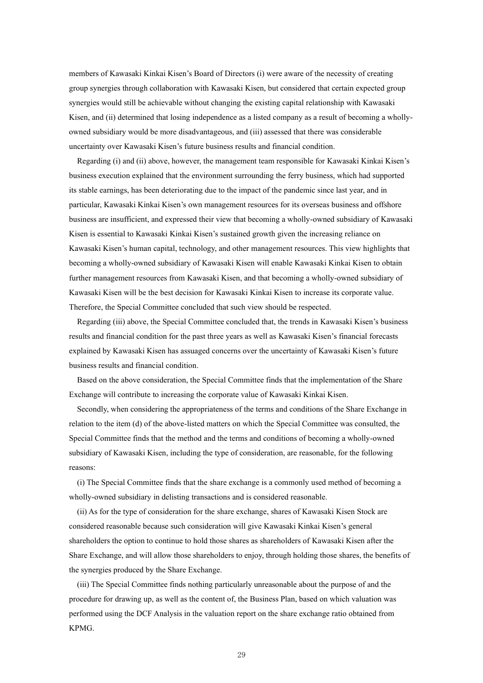members of Kawasaki Kinkai Kisen's Board of Directors (i) were aware of the necessity of creating group synergies through collaboration with Kawasaki Kisen, but considered that certain expected group synergies would still be achievable without changing the existing capital relationship with Kawasaki Kisen, and (ii) determined that losing independence as a listed company as a result of becoming a whollyowned subsidiary would be more disadvantageous, and (iii) assessed that there was considerable uncertainty over Kawasaki Kisen's future business results and financial condition.

Regarding (i) and (ii) above, however, the management team responsible for Kawasaki Kinkai Kisen's business execution explained that the environment surrounding the ferry business, which had supported its stable earnings, has been deteriorating due to the impact of the pandemic since last year, and in particular, Kawasaki Kinkai Kisen's own management resources for its overseas business and offshore business are insufficient, and expressed their view that becoming a wholly-owned subsidiary of Kawasaki Kisen is essential to Kawasaki Kinkai Kisen's sustained growth given the increasing reliance on Kawasaki Kisen's human capital, technology, and other management resources. This view highlights that becoming a wholly-owned subsidiary of Kawasaki Kisen will enable Kawasaki Kinkai Kisen to obtain further management resources from Kawasaki Kisen, and that becoming a wholly-owned subsidiary of Kawasaki Kisen will be the best decision for Kawasaki Kinkai Kisen to increase its corporate value. Therefore, the Special Committee concluded that such view should be respected.

Regarding (iii) above, the Special Committee concluded that, the trends in Kawasaki Kisen's business results and financial condition for the past three years as well as Kawasaki Kisen's financial forecasts explained by Kawasaki Kisen has assuaged concerns over the uncertainty of Kawasaki Kisen's future business results and financial condition.

Based on the above consideration, the Special Committee finds that the implementation of the Share Exchange will contribute to increasing the corporate value of Kawasaki Kinkai Kisen.

Secondly, when considering the appropriateness of the terms and conditions of the Share Exchange in relation to the item (d) of the above-listed matters on which the Special Committee was consulted, the Special Committee finds that the method and the terms and conditions of becoming a wholly-owned subsidiary of Kawasaki Kisen, including the type of consideration, are reasonable, for the following reasons:

(i) The Special Committee finds that the share exchange is a commonly used method of becoming a wholly-owned subsidiary in delisting transactions and is considered reasonable.

(ii) As for the type of consideration for the share exchange, shares of Kawasaki Kisen Stock are considered reasonable because such consideration will give Kawasaki Kinkai Kisen's general shareholders the option to continue to hold those shares as shareholders of Kawasaki Kisen after the Share Exchange, and will allow those shareholders to enjoy, through holding those shares, the benefits of the synergies produced by the Share Exchange.

(iii) The Special Committee finds nothing particularly unreasonable about the purpose of and the procedure for drawing up, as well as the content of, the Business Plan, based on which valuation was performed using the DCF Analysis in the valuation report on the share exchange ratio obtained from KPMG.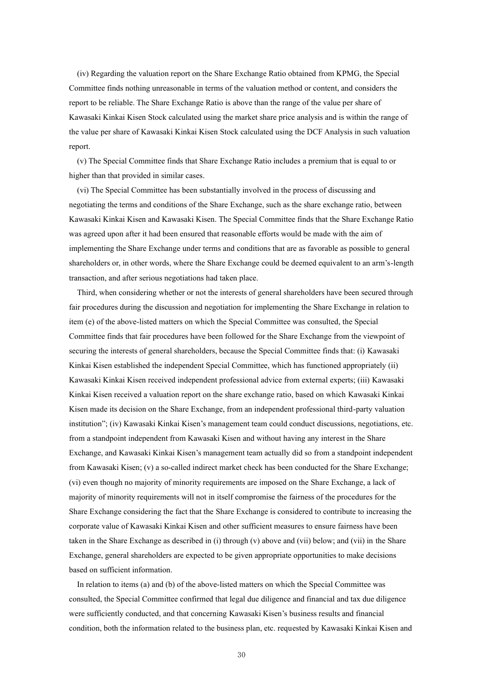(iv) Regarding the valuation report on the Share Exchange Ratio obtained from KPMG, the Special Committee finds nothing unreasonable in terms of the valuation method or content, and considers the report to be reliable. The Share Exchange Ratio is above than the range of the value per share of Kawasaki Kinkai Kisen Stock calculated using the market share price analysis and is within the range of the value per share of Kawasaki Kinkai Kisen Stock calculated using the DCF Analysis in such valuation report.

(v) The Special Committee finds that Share Exchange Ratio includes a premium that is equal to or higher than that provided in similar cases.

(vi) The Special Committee has been substantially involved in the process of discussing and negotiating the terms and conditions of the Share Exchange, such as the share exchange ratio, between Kawasaki Kinkai Kisen and Kawasaki Kisen. The Special Committee finds that the Share Exchange Ratio was agreed upon after it had been ensured that reasonable efforts would be made with the aim of implementing the Share Exchange under terms and conditions that are as favorable as possible to general shareholders or, in other words, where the Share Exchange could be deemed equivalent to an arm's-length transaction, and after serious negotiations had taken place.

Third, when considering whether or not the interests of general shareholders have been secured through fair procedures during the discussion and negotiation for implementing the Share Exchange in relation to item (e) of the above-listed matters on which the Special Committee was consulted, the Special Committee finds that fair procedures have been followed for the Share Exchange from the viewpoint of securing the interests of general shareholders, because the Special Committee finds that: (i) Kawasaki Kinkai Kisen established the independent Special Committee, which has functioned appropriately (ii) Kawasaki Kinkai Kisen received independent professional advice from external experts; (iii) Kawasaki Kinkai Kisen received a valuation report on the share exchange ratio, based on which Kawasaki Kinkai Kisen made its decision on the Share Exchange, from an independent professional third-party valuation institution"; (iv) Kawasaki Kinkai Kisen's management team could conduct discussions, negotiations, etc. from a standpoint independent from Kawasaki Kisen and without having any interest in the Share Exchange, and Kawasaki Kinkai Kisen's management team actually did so from a standpoint independent from Kawasaki Kisen; (v) a so-called indirect market check has been conducted for the Share Exchange; (vi) even though no majority of minority requirements are imposed on the Share Exchange, a lack of majority of minority requirements will not in itself compromise the fairness of the procedures for the Share Exchange considering the fact that the Share Exchange is considered to contribute to increasing the corporate value of Kawasaki Kinkai Kisen and other sufficient measures to ensure fairness have been taken in the Share Exchange as described in (i) through (v) above and (vii) below; and (vii) in the Share Exchange, general shareholders are expected to be given appropriate opportunities to make decisions based on sufficient information.

In relation to items (a) and (b) of the above-listed matters on which the Special Committee was consulted, the Special Committee confirmed that legal due diligence and financial and tax due diligence were sufficiently conducted, and that concerning Kawasaki Kisen's business results and financial condition, both the information related to the business plan, etc. requested by Kawasaki Kinkai Kisen and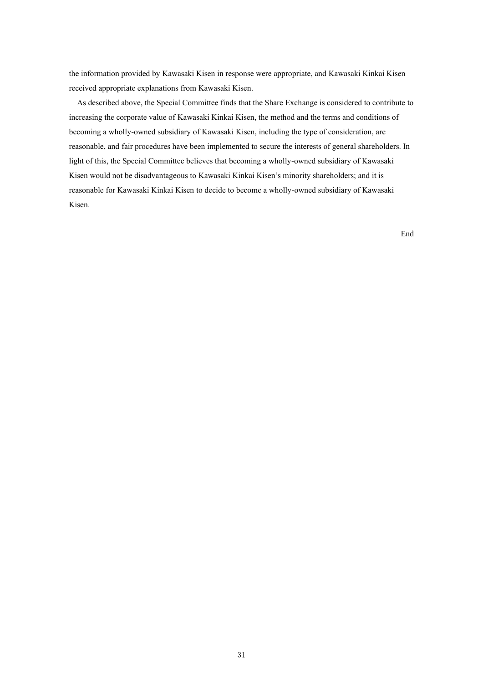the information provided by Kawasaki Kisen in response were appropriate, and Kawasaki Kinkai Kisen received appropriate explanations from Kawasaki Kisen.

As described above, the Special Committee finds that the Share Exchange is considered to contribute to increasing the corporate value of Kawasaki Kinkai Kisen, the method and the terms and conditions of becoming a wholly-owned subsidiary of Kawasaki Kisen, including the type of consideration, are reasonable, and fair procedures have been implemented to secure the interests of general shareholders. In light of this, the Special Committee believes that becoming a wholly-owned subsidiary of Kawasaki Kisen would not be disadvantageous to Kawasaki Kinkai Kisen's minority shareholders; and it is reasonable for Kawasaki Kinkai Kisen to decide to become a wholly-owned subsidiary of Kawasaki Kisen.